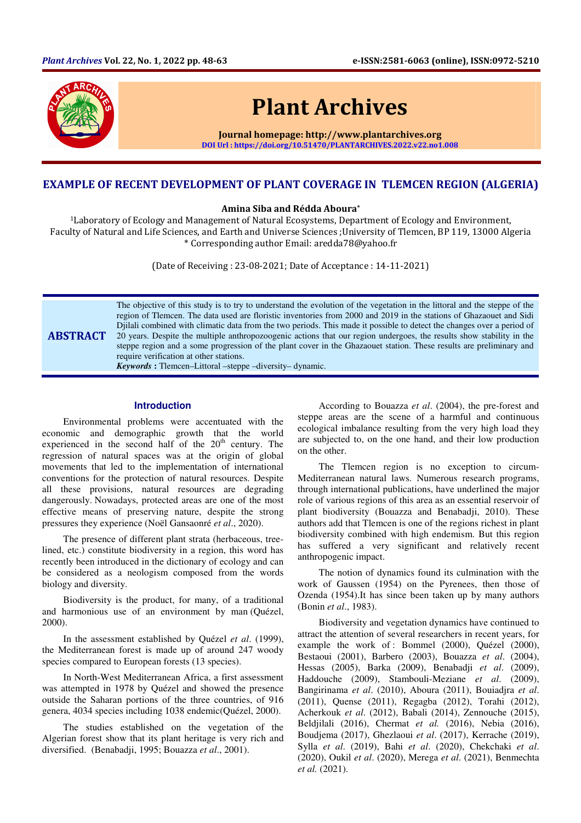

# Plant Archives

Journal homepage: http://www.plantarchives.org DOI Url : https://doi.org/10.51470/PLANTARCHIVES.2022.v22.no1.008

# EXAMPLE OF RECENT DEVELOPMENT OF PLANT COVERAGE IN TLEMCEN REGION (ALGERIA)

#### Amina Siba and Rédda Aboura\*

<sup>1</sup>Laboratory of Ecology and Management of Natural Ecosystems, Department of Ecology and Environment, Faculty of Natural and Life Sciences, and Earth and Universe Sciences ;University of Tlemcen, BP 119, 13000 Algeria \* Corresponding author Email: aredda78@yahoo.fr

(Date of Receiving : 23-08-2021; Date of Acceptance : 14-11-2021)

**ABSTRACT** The objective of this study is to try to understand the evolution of the vegetation in the littoral and the steppe of the region of Tlemcen. The data used are floristic inventories from 2000 and 2019 in the stations of Ghazaouet and Sidi Djilali combined with climatic data from the two periods. This made it possible to detect the changes over a period of 20 years. Despite the multiple anthropozoogenic actions that our region undergoes, the results show stability in the steppe region and a some progression of the plant cover in the Ghazaouet station. These results are preliminary and require verification at other stations. *Keywords* **:** Tlemcen–Littoral –steppe –diversity– dynamic.

## **Introduction**

Environmental problems were accentuated with the economic and demographic growth that the world experienced in the second half of the  $20<sup>th</sup>$  century. The regression of natural spaces was at the origin of global movements that led to the implementation of international conventions for the protection of natural resources. Despite all these provisions, natural resources are degrading dangerously. Nowadays, protected areas are one of the most effective means of preserving nature, despite the strong pressures they experience (Noël Gansaonré *et al*., 2020).

The presence of different plant strata (herbaceous, treelined, etc.) constitute biodiversity in a region, this word has recently been introduced in the dictionary of ecology and can be considered as a neologism composed from the words biology and diversity.

Biodiversity is the product, for many, of a traditional and harmonious use of an environment by man (Quézel, 2000).

In the assessment established by Quézel *et al*. (1999), the Mediterranean forest is made up of around 247 woody species compared to European forests (13 species).

In North-West Mediterranean Africa, a first assessment was attempted in 1978 by Quézel and showed the presence outside the Saharan portions of the three countries, of 916 genera, 4034 species including 1038 endemic(Quézel, 2000).

The studies established on the vegetation of the Algerian forest show that its plant heritage is very rich and diversified. (Benabadji, 1995; Bouazza *et al*., 2001).

According to Bouazza *et al*. (2004), the pre-forest and steppe areas are the scene of a harmful and continuous ecological imbalance resulting from the very high load they are subjected to, on the one hand, and their low production on the other.

The Tlemcen region is no exception to circum-Mediterranean natural laws. Numerous research programs, through international publications, have underlined the major role of various regions of this area as an essential reservoir of plant biodiversity (Bouazza and Benabadji, 2010). These authors add that Tlemcen is one of the regions richest in plant biodiversity combined with high endemism. But this region has suffered a very significant and relatively recent anthropogenic impact.

The notion of dynamics found its culmination with the work of Gaussen (1954) on the Pyrenees, then those of Ozenda (1954).It has since been taken up by many authors (Bonin *et al*., 1983).

Biodiversity and vegetation dynamics have continued to attract the attention of several researchers in recent years, for example the work of : Bommel (2000), Quézel (2000), Bestaoui (2001), Barbero (2003), Bouazza *et al*. (2004), Hessas (2005), Barka (2009), Benabadji *et al*. (2009), Haddouche (2009), Stambouli-Meziane *et al*. (2009), Bangirinama *et al*. (2010), Aboura (2011), Bouiadjra *et al*. (2011), Quense (2011), Regagba (2012), Torahi (2012), Acherkouk *et al*. (2012), Babali (2014), Zennouche (2015), Beldjilali (2016), Chermat *et al.* (2016), Nebia (2016), Boudjema (2017), Ghezlaoui *et al*. (2017), Kerrache (2019), Sylla *et al*. (2019), Bahi *et al*. (2020), Chekchaki *et al*. (2020), Oukil *et al*. (2020), Merega *et al*. (2021), Benmechta *et al.* (2021).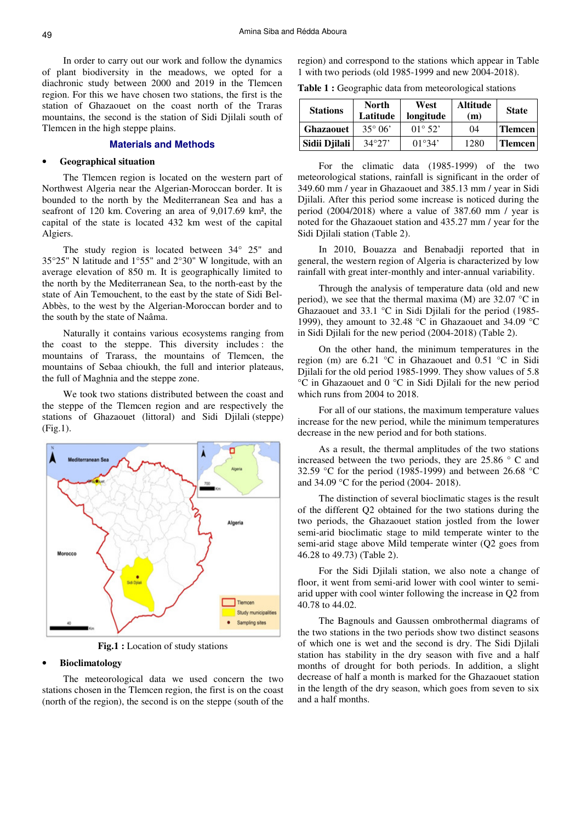In order to carry out our work and follow the dynamics of plant biodiversity in the meadows, we opted for a diachronic study between 2000 and 2019 in the Tlemcen region. For this we have chosen two stations, the first is the station of Ghazaouet on the coast north of the Traras mountains, the second is the station of Sidi Djilali south of Tlemcen in the high steppe plains.

## **Materials and Methods**

#### • **Geographical situation**

The Tlemcen region is located on the western part of Northwest Algeria near the Algerian-Moroccan border. It is bounded to the north by the Mediterranean Sea and has a seafront of 120 km. Covering an area of 9,017.69 km², the capital of the state is located 432 km west of the capital Algiers.

The study region is located between 34° 25" and 35°25" N latitude and 1°55" and 2°30" W longitude, with an average elevation of 850 m. It is geographically limited to the north by the Mediterranean Sea, to the north-east by the state of Ain Temouchent, to the east by the state of Sidi Bel-Abbès, to the west by the Algerian-Moroccan border and to the south by the state of Naâma.

Naturally it contains various ecosystems ranging from the coast to the steppe. This diversity includes : the mountains of Trarass, the mountains of Tlemcen, the mountains of Sebaa chioukh, the full and interior plateaus, the full of Maghnia and the steppe zone.

We took two stations distributed between the coast and the steppe of the Tlemcen region and are respectively the stations of Ghazaouet (littoral) and Sidi Djilali (steppe) (Fig.1).



**Fig.1 :** Location of study stations

#### • **Bioclimatology**

The meteorological data we used concern the two stations chosen in the Tlemcen region, the first is on the coast (north of the region), the second is on the steppe (south of the region) and correspond to the stations which appear in Table 1 with two periods (old 1985-1999 and new 2004-2018).

**Table 1 :** Geographic data from meteorological stations

| <b>Stations</b>  | <b>North</b><br>Latitude | West<br>longitude         | <b>Altitude</b><br>(m) | <b>State</b>   |
|------------------|--------------------------|---------------------------|------------------------|----------------|
| <b>Ghazaouet</b> | $35^{\circ}06'$          | $01^{\circ} 52'$          | 04                     | <b>Tlemcen</b> |
| Sidii Djilali    | 34°27'                   | $(1)$ <sup>o</sup> $34$ ' | 1280                   | <b>Tlemcen</b> |

For the climatic data (1985-1999) of the two meteorological stations, rainfall is significant in the order of 349.60 mm / year in Ghazaouet and 385.13 mm / year in Sidi Djilali. After this period some increase is noticed during the period (2004/2018) where a value of 387.60 mm / year is noted for the Ghazaouet station and 435.27 mm / year for the Sidi Djilali station (Table 2).

In 2010, Bouazza and Benabadji reported that in general, the western region of Algeria is characterized by low rainfall with great inter-monthly and inter-annual variability.

Through the analysis of temperature data (old and new period), we see that the thermal maxima (M) are  $32.07 \degree$ C in Ghazaouet and 33.1 °C in Sidi Djilali for the period (1985- 1999), they amount to 32.48 °C in Ghazaouet and 34.09 °C in Sidi Djilali for the new period (2004-2018) (Table 2).

On the other hand, the minimum temperatures in the region (m) are 6.21 °C in Ghazaouet and 0.51 °C in Sidi Djilali for the old period 1985-1999. They show values of 5.8 °C in Ghazaouet and 0 °C in Sidi Djilali for the new period which runs from 2004 to 2018.

For all of our stations, the maximum temperature values increase for the new period, while the minimum temperatures decrease in the new period and for both stations.

As a result, the thermal amplitudes of the two stations increased between the two periods, they are 25.86 ° C and 32.59 °C for the period (1985-1999) and between 26.68 °C and 34.09 °C for the period (2004- 2018).

The distinction of several bioclimatic stages is the result of the different Q2 obtained for the two stations during the two periods, the Ghazaouet station jostled from the lower semi-arid bioclimatic stage to mild temperate winter to the semi-arid stage above Mild temperate winter (Q2 goes from 46.28 to 49.73) (Table 2).

For the Sidi Djilali station, we also note a change of floor, it went from semi-arid lower with cool winter to semiarid upper with cool winter following the increase in Q2 from 40.78 to 44.02.

The Bagnouls and Gaussen ombrothermal diagrams of the two stations in the two periods show two distinct seasons of which one is wet and the second is dry. The Sidi Djilali station has stability in the dry season with five and a half months of drought for both periods. In addition, a slight decrease of half a month is marked for the Ghazaouet station in the length of the dry season, which goes from seven to six and a half months.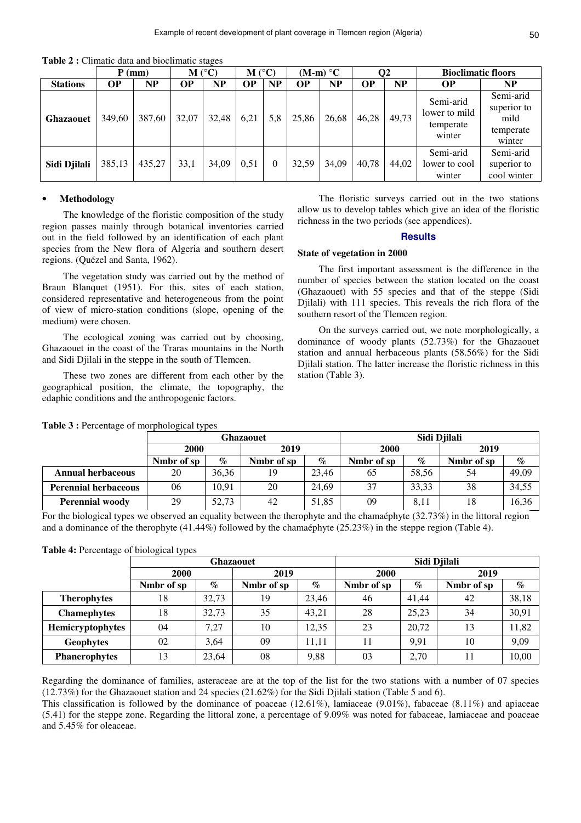**Table 2 :** Climatic data and bioclimatic stages

|                  |        | $P$ (mm) | $M(^{\circ}C)$ |           | $M(^{\circ}C)$ |          |           | $(M-m) °C$ |           | O2    | <b>Bioclimatic floors</b>                         |                                                         |
|------------------|--------|----------|----------------|-----------|----------------|----------|-----------|------------|-----------|-------|---------------------------------------------------|---------------------------------------------------------|
| <b>Stations</b>  | ОP     | NP       | <b>OP</b>      | <b>NP</b> | <b>OP</b>      | NP       | <b>OP</b> | <b>NP</b>  | <b>OP</b> | NP    | <b>OP</b>                                         | NP                                                      |
| <b>Ghazaouet</b> | 349,60 | 387.60   | 32,07          | 32,48     | 6.21           | 5,8      | 25,86     | 26,68      | 46,28     | 49,73 | Semi-arid<br>lower to mild<br>temperate<br>winter | Semi-arid<br>superior to<br>mild<br>temperate<br>winter |
| Sidi Djilali     | 385,13 | 435,27   | 33,1           | 34,09     | 0,51           | $\Omega$ | 32,59     | 34,09      | 40.78     | 44,02 | Semi-arid<br>lower to cool<br>winter              | Semi-arid<br>superior to<br>cool winter                 |

### • **Methodology**

The knowledge of the floristic composition of the study region passes mainly through botanical inventories carried out in the field followed by an identification of each plant species from the New flora of Algeria and southern desert regions. (Quézel and Santa, 1962).

The vegetation study was carried out by the method of Braun Blanquet (1951). For this, sites of each station, considered representative and heterogeneous from the point of view of micro-station conditions (slope, opening of the medium) were chosen.

The ecological zoning was carried out by choosing, Ghazaouet in the coast of the Traras mountains in the North and Sidi Djilali in the steppe in the south of Tlemcen.

These two zones are different from each other by the geographical position, the climate, the topography, the edaphic conditions and the anthropogenic factors.

The floristic surveys carried out in the two stations allow us to develop tables which give an idea of the floristic richness in the two periods (see appendices).

#### **Results**

#### **State of vegetation in 2000**

The first important assessment is the difference in the number of species between the station located on the coast (Ghazaouet) with 55 species and that of the steppe (Sidi Djilali) with 111 species. This reveals the rich flora of the southern resort of the Tlemcen region.

On the surveys carried out, we note morphologically, a dominance of woody plants (52.73%) for the Ghazaouet station and annual herbaceous plants (58.56%) for the Sidi Djilali station. The latter increase the floristic richness in this station (Table 3).

|  | Table 3 : Percentage of morphological types |  |
|--|---------------------------------------------|--|
|  |                                             |  |

|                             | <b>Ghazaouet</b> |       |            |       | Sidi Djilali |       |            |       |
|-----------------------------|------------------|-------|------------|-------|--------------|-------|------------|-------|
|                             | 2000             |       | 2019       |       | 2000         |       | 2019       |       |
|                             | Nmbr of sp       | $\%$  | Nmbr of sp | $\%$  | Nmbr of sp   | $\%$  | Nmbr of sp | $\%$  |
| <b>Annual herbaceous</b>    | 20               | 36,36 | 19         | 23.46 | 65           | 58,56 | 54         | 49.09 |
| <b>Perennial herbaceous</b> | 06               | 10.91 | 20         | 24.69 | 37           | 33.33 | 38         | 34,55 |
| <b>Perennial woody</b>      | 29               | 52,73 | 42         | 51.85 | 09           | 8,11  | 18         | 16,36 |

For the biological types we observed an equality between the therophyte and the chamaéphyte (32.73%) in the littoral region and a dominance of the therophyte (41.44%) followed by the chamaéphyte (25.23%) in the steppe region (Table 4).

**Table 4:** Percentage of biological types

|                         | <b>Ghazaouet</b> |       |            |       | Sidi Djilali |       |            |       |
|-------------------------|------------------|-------|------------|-------|--------------|-------|------------|-------|
|                         | 2000             |       | 2019       |       | 2000         |       | 2019       |       |
|                         | Nmbr of sp       | $\%$  | Nmbr of sp | $\%$  | Nmbr of sp   | $\%$  | Nmbr of sp | $\%$  |
| <b>Therophytes</b>      | 18               | 32.73 | 19         | 23.46 | 46           | 41.44 | 42         | 38,18 |
| <b>Chamephytes</b>      | 18               | 32.73 | 35         | 43.21 | 28           | 25.23 | 34         | 30,91 |
| <b>Hemicryptophytes</b> | 04               | 7.27  | 10         | 12.35 | 23           | 20.72 | 13         | 11,82 |
| <b>Geophytes</b>        | 02               | 3.64  | 09         | 11.11 | 11           | 9,91  | 10         | 9,09  |
| <b>Phanerophytes</b>    | 13               | 23.64 | 08         | 9,88  | 03           | 2.70  |            | 10,00 |

Regarding the dominance of families, asteraceae are at the top of the list for the two stations with a number of 07 species (12.73%) for the Ghazaouet station and 24 species (21.62%) for the Sidi Djilali station (Table 5 and 6).

This classification is followed by the dominance of poaceae (12.61%), lamiaceae (9.01%), fabaceae (8.11%) and apiaceae (5.41) for the steppe zone. Regarding the littoral zone, a percentage of 9.09% was noted for fabaceae, lamiaceae and poaceae and 5.45% for oleaceae.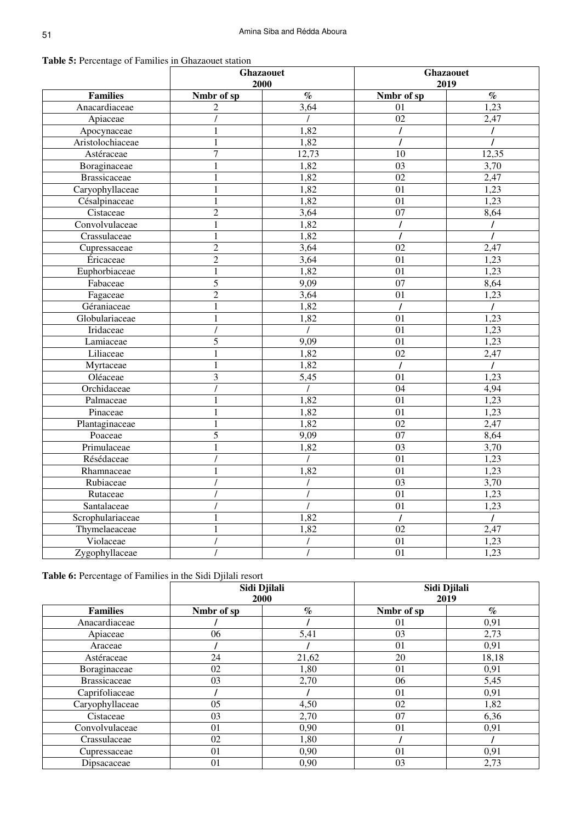| <b>Table 5:</b> Percentage of Families in Ghazaouet station |  |
|-------------------------------------------------------------|--|
|-------------------------------------------------------------|--|

|                     | <b>Ghazaouet</b><br>2000 |       | Ghazaouet<br>2019 |                   |  |
|---------------------|--------------------------|-------|-------------------|-------------------|--|
| <b>Families</b>     | Nmbr of sp               | $\%$  | Nmbr of sp        | $\%$              |  |
| Anacardiaceae       | 2                        | 3,64  | 01                | 1,23              |  |
| Apiaceae            |                          |       | 02                | 2,47              |  |
| Apocynaceae         | 1                        | 1,82  | $\prime$          | $\prime$          |  |
| Aristolochiaceae    | 1                        | 1,82  |                   |                   |  |
| Astéraceae          | 7                        | 12,73 | 10                | 12,35             |  |
| Boraginaceae        |                          | 1,82  | 0 <sub>3</sub>    | $\overline{3,70}$ |  |
| <b>Brassicaceae</b> | 1                        | 1,82  | 02                | 2,47              |  |
| Caryophyllaceae     | 1                        | 1,82  | 01                | 1,23              |  |
| Césalpinaceae       |                          | 1,82  | 01                | 1,23              |  |
| Cistaceae           | $\overline{2}$           | 3,64  | 07                | 8,64              |  |
| Convolvulaceae      | $\mathbf{1}$             | 1,82  | $\prime$          | $\prime$          |  |
| Crassulaceae        | $\mathbf{1}$             | 1,82  | $\prime$          | $\prime$          |  |
| Cupressaceae        | 2                        | 3,64  | 02                | 2,47              |  |
| Éricaceae           | $\overline{2}$           | 3,64  | 01                | 1,23              |  |
| Euphorbiaceae       | 1                        | 1,82  | 01                | 1,23              |  |
| Fabaceae            | $\overline{5}$           | 9,09  | $\overline{07}$   | 8,64              |  |
| Fagaceae            | $\overline{c}$           | 3,64  | 01                | 1,23              |  |
| Géraniaceae         |                          | 1,82  |                   | $\prime$          |  |
| Globulariaceae      | 1                        | 1,82  | 01                | 1,23              |  |
| Iridaceae           |                          |       | 01                | 1,23              |  |
| Lamiaceae           | 5                        | 9,09  | 01                | 1,23              |  |
| Liliaceae           |                          | 1,82  | 02                | 2,47              |  |
| Myrtaceae           |                          | 1,82  | $\prime$          | $\prime$          |  |
| Oléaceae            | $\overline{3}$           | 5,45  | 01                | 1,23              |  |
| Orchidaceae         |                          |       | 04                | 4,94              |  |
| Palmaceae           |                          | 1,82  | 01                | 1,23              |  |
| Pinaceae            |                          | 1,82  | 01                | 1,23              |  |
| Plantaginaceae      | 1                        | 1,82  | 02                | 2,47              |  |
| Poaceae             | 5                        | 9,09  | $\overline{07}$   | 8,64              |  |
| Primulaceae         | $\mathbf{1}$             | 1,82  | 03                | 3,70              |  |
| Résédaceae          |                          |       | 01                | 1,23              |  |
| Rhamnaceae          |                          | 1,82  | 01                | 1,23              |  |
| Rubiaceae           |                          |       | 03                | 3,70              |  |
| Rutaceae            |                          |       | 01                | 1,23              |  |
| Santalaceae         |                          |       | 01                | 1,23              |  |
| Scrophulariaceae    |                          | 1,82  |                   |                   |  |
| Thymelaeaceae       |                          | 1,82  | 02                | 2,47              |  |
| Violaceae           |                          |       | 01                | 1,23              |  |
| Zygophyllaceae      |                          |       | 01                | 1,23              |  |

**Table 6:** Percentage of Families in the Sidi Djilali resort

|                     | Sidi Djilali<br>2000 |                             | Sidi Djilali<br>2019 |                             |  |
|---------------------|----------------------|-----------------------------|----------------------|-----------------------------|--|
| <b>Families</b>     | Nmbr of sp           | $\mathcal{G}_{\mathcal{O}}$ | Nmbr of sp           | $\mathcal{O}_{\mathcal{O}}$ |  |
| Anacardiaceae       |                      |                             | 01                   | 0,91                        |  |
| Apiaceae            | 06                   | 5,41                        | 03                   | 2,73                        |  |
| Araceae             |                      |                             | 01                   | 0,91                        |  |
| Astéraceae          | 24                   | 21,62                       | 20                   | 18,18                       |  |
| Boraginaceae        | 02                   | 1,80                        | 01                   | 0,91                        |  |
| <b>Brassicaceae</b> | 03                   | 2,70                        | 06                   | 5,45                        |  |
| Caprifoliaceae      |                      |                             | 01                   | 0,91                        |  |
| Caryophyllaceae     | 05                   | 4,50                        | 02                   | 1,82                        |  |
| Cistaceae           | 03                   | 2,70                        | 07                   | 6,36                        |  |
| Convolvulaceae      | 01                   | 0,90                        | 01                   | 0,91                        |  |
| Crassulaceae        | 02                   | 1,80                        |                      |                             |  |
| Cupressaceae        | 01                   | 0,90                        | 01                   | 0,91                        |  |
| Dipsacaceae         | 01                   | 0,90                        | 03                   | 2,73                        |  |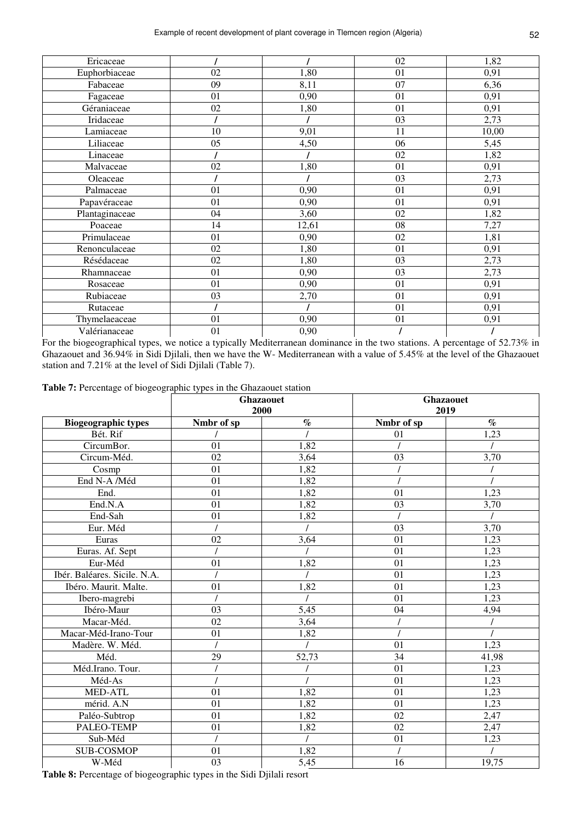| Ericaceae      |    |       | 02 | 1,82  |
|----------------|----|-------|----|-------|
| Euphorbiaceae  | 02 | 1,80  | 01 | 0,91  |
| Fabaceae       | 09 | 8,11  | 07 | 6,36  |
| Fagaceae       | 01 | 0,90  | 01 | 0,91  |
| Géraniaceae    | 02 | 1,80  | 01 | 0,91  |
| Iridaceae      |    |       | 03 | 2,73  |
| Lamiaceae      | 10 | 9,01  | 11 | 10,00 |
| Liliaceae      | 05 | 4,50  | 06 | 5,45  |
| Linaceae       |    |       | 02 | 1,82  |
| Malvaceae      | 02 | 1,80  | 01 | 0,91  |
| Oleaceae       |    |       | 03 | 2,73  |
| Palmaceae      | 01 | 0,90  | 01 | 0,91  |
| Papavéraceae   | 01 | 0,90  | 01 | 0,91  |
| Plantaginaceae | 04 | 3,60  | 02 | 1,82  |
| Poaceae        | 14 | 12,61 | 08 | 7,27  |
| Primulaceae    | 01 | 0,90  | 02 | 1,81  |
| Renonculaceae  | 02 | 1,80  | 01 | 0,91  |
| Résédaceae     | 02 | 1,80  | 03 | 2,73  |
| Rhamnaceae     | 01 | 0,90  | 03 | 2,73  |
| Rosaceae       | 01 | 0,90  | 01 | 0,91  |
| Rubiaceae      | 03 | 2,70  | 01 | 0,91  |
| Rutaceae       |    |       | 01 | 0,91  |
| Thymelaeaceae  | 01 | 0,90  | 01 | 0,91  |
| Valérianaceae  | 01 | 0,90  |    |       |

For the biogeographical types, we notice a typically Mediterranean dominance in the two stations. A percentage of 52.73% in Ghazaouet and 36.94% in Sidi Djilali, then we have the W- Mediterranean with a value of 5.45% at the level of the Ghazaouet station and 7.21% at the level of Sidi Djilali (Table 7).

**Table 7:** Percentage of biogeographic types in the Ghazaouet station

|                              | <b>Ghazaouet</b><br>2000 |          | <b>Ghazaouet</b><br>2019 |          |
|------------------------------|--------------------------|----------|--------------------------|----------|
| <b>Biogeographic types</b>   | Nmbr of sp               | $\%$     | Nmbr of sp               | $\%$     |
| Bét. Rif                     |                          |          | 01                       | 1,23     |
| CircumBor.                   | 01                       | 1,82     |                          |          |
| Circum-Méd.                  | 02                       | 3,64     | 03                       | 3,70     |
| Cosmp                        | 01                       | 1,82     |                          |          |
| End N-A /Méd                 | 01                       | 1,82     |                          |          |
| End.                         | 01                       | 1,82     | 01                       | 1,23     |
| End.N.A                      | 01                       | 1,82     | 03                       | 3,70     |
| End-Sah                      | 01                       | 1,82     | $\prime$                 | $\prime$ |
| Eur. Méd                     | $\overline{I}$           |          | 03                       | 3,70     |
| Euras                        | 02                       | 3,64     | 01                       | 1,23     |
| Euras. Af. Sept              |                          |          | 01                       | 1,23     |
| Eur-Méd                      | 01                       | 1,82     | 01                       | 1,23     |
| Ibér. Baléares. Sicile. N.A. |                          |          | 01                       | 1,23     |
| Ibéro. Maurit. Malte.        | 01                       | 1,82     | 01                       | 1,23     |
| Ibero-magrebi                | $\overline{I}$           |          | 01                       | 1,23     |
| Ibéro-Maur                   | 03                       | 5,45     | 04                       | 4,94     |
| Macar-Méd.                   | 02                       | 3,64     |                          |          |
| Macar-Méd-Irano-Tour         | 01                       | 1,82     |                          |          |
| Madère. W. Méd.              | $\prime$                 |          | 01                       | 1,23     |
| Méd.                         | 29                       | 52,73    | 34                       | 41,98    |
| Méd.Irano. Tour.             |                          |          | 01                       | 1,23     |
| Méd-As                       |                          |          | 01                       | 1,23     |
| MED-ATL                      | 01                       | 1,82     | 01                       | 1,23     |
| mérid. A.N                   | 01                       | 1,82     | 01                       | 1,23     |
| Paléo-Subtrop                | 01                       | 1,82     | 02                       | 2,47     |
| PALEO-TEMP                   | 01                       | 1,82     | $\overline{02}$          | 2,47     |
| Sub-Méd                      | $\overline{I}$           | $\prime$ | 01                       | 1,23     |
| <b>SUB-COSMOP</b>            | 01                       | 1,82     | $\overline{I}$           |          |
| W-Méd                        | 03                       | 5,45     | 16                       | 19,75    |

**Table 8:** Percentage of biogeographic types in the Sidi Djilali resort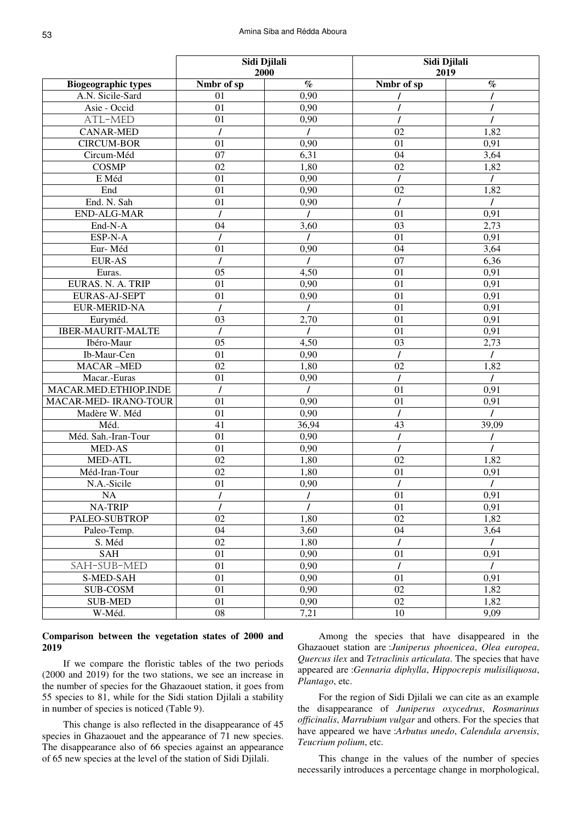|                                 | Sidi Djilali<br>2000  |                | Sidi Djilali<br>2019 |          |  |
|---------------------------------|-----------------------|----------------|----------------------|----------|--|
| <b>Biogeographic types</b>      | Nmbr of sp            | $\%$           | Nmbr of sp           | $\%$     |  |
| A.N. Sicile-Sard                | 01                    | 0,90           |                      |          |  |
| Asie - Occid                    | 01                    | 0,90           |                      |          |  |
| ATL-MED                         | 01                    | 0,90           |                      |          |  |
| <b>CANAR-MED</b>                | $\prime$              | $\prime$       | 02                   | 1,82     |  |
| <b>CIRCUM-BOR</b>               | 01                    | 0,90           | 01                   | 0,91     |  |
| Circum-Méd                      | $\overline{07}$       | 6,31           | 04                   | 3,64     |  |
| <b>COSMP</b>                    | $\overline{02}$       | 1,80           | $\overline{02}$      | 1,82     |  |
| E Méd                           | $\overline{01}$       | 0,90           | $\prime$             | T        |  |
| End                             | 01                    | 0,90           | 02                   | 1,82     |  |
| End. N. Sah                     | 01                    | 0,90           |                      | $\prime$ |  |
| <b>END-ALG-MAR</b>              |                       |                | 01                   | 0,91     |  |
| End-N-A                         | 04                    | 3,60           | 03                   | 2,73     |  |
| ESP-N-A                         |                       |                | 01                   | 0,91     |  |
| Eur-Méd                         | 01                    | 0,90           | 04                   | 3,64     |  |
| <b>EUR-AS</b>                   |                       |                | $\overline{07}$      | 6,36     |  |
| Euras.                          | 05                    | 4,50           | 01                   | 0,91     |  |
| EURAS. N. A. TRIP               | 01                    | 0,90           | 01                   | 0,91     |  |
| <b>EURAS-AJ-SEPT</b>            | 01                    | 0,90           | 01                   | 0,91     |  |
| <b>EUR-MERID-NA</b>             |                       |                | 01                   | 0,91     |  |
| Euryméd.                        | 03                    | 2,70           | 01                   | 0,91     |  |
| <b>IBER-MAURIT-MALTE</b>        | $\prime$              |                | 01                   | 0,91     |  |
| Ibéro-Maur                      | 05                    | 4,50           | 03                   | 2,73     |  |
| Ib-Maur-Cen                     | 01                    | 0,90           |                      |          |  |
| <b>MACAR-MED</b>                | 02                    | 1,80           | 02                   | 1,82     |  |
| Macar.-Euras                    | 01                    | 0,90           |                      | $\prime$ |  |
| MACAR.MED.ETHIOP.INDE           | $\prime$              | $\prime$       | 01                   | 0,91     |  |
| <b>MACAR-MED- IRANO-TOUR</b>    | 01                    | 0,90           | 01                   | 0,91     |  |
| Madère W. Méd                   | 01                    | 0,90           |                      |          |  |
| Méd.                            | 41                    | 36,94          | 43                   | 39,09    |  |
| Méd. Sah.-Iran-Tour             | 01                    | 0,90           |                      |          |  |
| MED-AS                          | 01                    | 0,90           |                      |          |  |
| <b>MED-ATL</b><br>Méd-Iran-Tour | 02<br>$\overline{02}$ | 1,80<br>1,80   | 02<br>01             | 1,82     |  |
| N.A.-Sicile                     | 01                    | 0,90           |                      | 0,91     |  |
| <b>NA</b>                       | $\overline{I}$        | $\overline{I}$ | 01                   | 0,91     |  |
| <b>NA-TRIP</b>                  |                       |                | 01                   | 0,91     |  |
| PALEO-SUBTROP                   | 02                    | 1,80           | 02                   | 1,82     |  |
| Paleo-Temp.                     | 04                    | 3,60           | 04                   | 3,64     |  |
| S. Méd                          | 02                    | 1,80           |                      |          |  |
| SAH                             | 01                    | 0,90           | 01                   | 0,91     |  |
| SAH-SUB-MED                     | 01                    | 0,90           | $\prime$             |          |  |
| S-MED-SAH                       | 01                    | 0,90           | 01                   | 0,91     |  |
| <b>SUB-COSM</b>                 | 01                    | 0,90           | 02                   | 1,82     |  |
| <b>SUB-MED</b>                  | 01                    | 0,90           | 02                   | 1,82     |  |
| W-Méd.                          | ${\bf 08}$            | 7,21           | $10\,$               | 9,09     |  |
|                                 |                       |                |                      |          |  |

### **Comparison between the vegetation states of 2000 and 2019**

If we compare the floristic tables of the two periods (2000 and 2019) for the two stations, we see an increase in the number of species for the Ghazaouet station, it goes from 55 species to 81, while for the Sidi station Djilali a stability in number of species is noticed (Table 9).

This change is also reflected in the disappearance of 45 species in Ghazaouet and the appearance of 71 new species. The disappearance also of 66 species against an appearance of 65 new species at the level of the station of Sidi Djilali.

Among the species that have disappeared in the Ghazaouet station are :*Juniperus phoenicea*, *Olea europea*, *Quercus ilex* and *Tetraclinis articulata*. The species that have appeared are :*Gennaria diphylla*, *Hippocrepis mulisiliquosa*, *Plantago*, etc.

For the region of Sidi Djilali we can cite as an example the disappearance of *Juniperus oxycedrus*, *Rosmarinus officinalis*, *Marrubium vulgar* and others. For the species that have appeared we have :*Arbutus unedo*, *Calendula arvensis*, *Teucrium polium*, etc.

This change in the values of the number of species necessarily introduces a percentage change in morphological,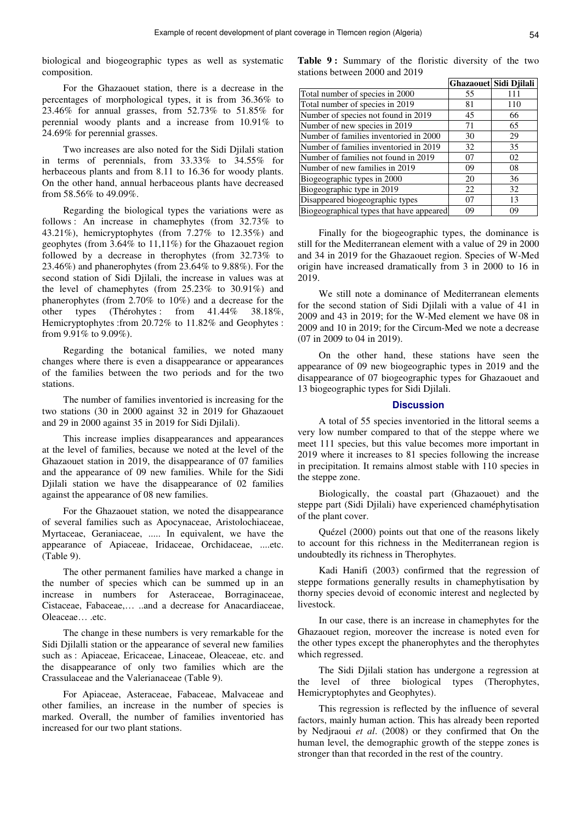biological and biogeographic types as well as systematic composition.

For the Ghazaouet station, there is a decrease in the percentages of morphological types, it is from 36.36% to 23.46% for annual grasses, from 52.73% to 51.85% for perennial woody plants and a increase from 10.91% to 24.69% for perennial grasses.

Two increases are also noted for the Sidi Djilali station in terms of perennials, from 33.33% to 34.55% for herbaceous plants and from 8.11 to 16.36 for woody plants. On the other hand, annual herbaceous plants have decreased from 58.56% to 49.09%.

Regarding the biological types the variations were as follows : An increase in chamephytes (from 32.73% to 43.21%), hemicryptophytes (from 7.27% to 12.35%) and geophytes (from 3.64% to 11,11%) for the Ghazaouet region followed by a decrease in therophytes (from 32.73% to 23.46%) and phanerophytes (from 23.64% to 9.88%). For the second station of Sidi Djilali, the increase in values was at the level of chamephytes (from 25.23% to 30.91%) and phanerophytes (from 2.70% to 10%) and a decrease for the other types (Thérohytes: from 41.44% 38.18%, Hemicryptophytes :from 20.72% to 11.82% and Geophytes : from 9.91% to 9.09%).

Regarding the botanical families, we noted many changes where there is even a disappearance or appearances of the families between the two periods and for the two stations.

The number of families inventoried is increasing for the two stations (30 in 2000 against 32 in 2019 for Ghazaouet and 29 in 2000 against 35 in 2019 for Sidi Djilali).

This increase implies disappearances and appearances at the level of families, because we noted at the level of the Ghazaouet station in 2019, the disappearance of 07 families and the appearance of 09 new families. While for the Sidi Djilali station we have the disappearance of 02 families against the appearance of 08 new families.

For the Ghazaouet station, we noted the disappearance of several families such as Apocynaceae, Aristolochiaceae, Myrtaceae, Geraniaceae, ..... In equivalent, we have the appearance of Apiaceae, Iridaceae, Orchidaceae, ....etc. (Table 9).

The other permanent families have marked a change in the number of species which can be summed up in an increase in numbers for Asteraceae, Borraginaceae, Cistaceae, Fabaceae,… ..and a decrease for Anacardiaceae, Oleaceae… .etc.

The change in these numbers is very remarkable for the Sidi Djilalli station or the appearance of several new families such as : Apiaceae, Ericaceae, Linaceae, Oleaceae, etc. and the disappearance of only two families which are the Crassulaceae and the Valerianaceae (Table 9).

For Apiaceae, Asteraceae, Fabaceae, Malvaceae and other families, an increase in the number of species is marked. Overall, the number of families inventoried has increased for our two plant stations.

Table 9: Summary of the floristic diversity of the two stations between 2000 and 2019

|                                          |    | Ghazaouet Sidi Djilali |
|------------------------------------------|----|------------------------|
| Total number of species in 2000          | 55 |                        |
| Total number of species in 2019          | 81 | 110                    |
| Number of species not found in 2019      | 45 | 66                     |
| Number of new species in 2019            | 71 | 65                     |
| Number of families inventoried in 2000   | 30 | 29                     |
| Number of families inventoried in 2019   | 32 | 35                     |
| Number of families not found in 2019     | 07 | 02                     |
| Number of new families in 2019           | 09 | 08                     |
| Biogeographic types in 2000              | 20 | 36                     |
| Biogeographic type in 2019               | 22 | 32                     |
| Disappeared biogeographic types          | 07 | 13                     |
| Biogeographical types that have appeared | 09 | 09                     |

Finally for the biogeographic types, the dominance is still for the Mediterranean element with a value of 29 in 2000 and 34 in 2019 for the Ghazaouet region. Species of W-Med origin have increased dramatically from 3 in 2000 to 16 in 2019.

We still note a dominance of Mediterranean elements for the second station of Sidi Djilali with a value of 41 in 2009 and 43 in 2019; for the W-Med element we have 08 in 2009 and 10 in 2019; for the Circum-Med we note a decrease (07 in 2009 to 04 in 2019).

On the other hand, these stations have seen the appearance of 09 new biogeographic types in 2019 and the disappearance of 07 biogeographic types for Ghazaouet and 13 biogeographic types for Sidi Djilali.

#### **Discussion**

A total of 55 species inventoried in the littoral seems a very low number compared to that of the steppe where we meet 111 species, but this value becomes more important in 2019 where it increases to 81 species following the increase in precipitation. It remains almost stable with 110 species in the steppe zone.

Biologically, the coastal part (Ghazaouet) and the steppe part (Sidi Djilali) have experienced chaméphytisation of the plant cover.

Quézel (2000) points out that one of the reasons likely to account for this richness in the Mediterranean region is undoubtedly its richness in Therophytes.

Kadi Hanifi (2003) confirmed that the regression of steppe formations generally results in chamephytisation by thorny species devoid of economic interest and neglected by livestock.

In our case, there is an increase in chamephytes for the Ghazaouet region, moreover the increase is noted even for the other types except the phanerophytes and the therophytes which regressed.

The Sidi Djilali station has undergone a regression at the level of three biological types (Therophytes, Hemicryptophytes and Geophytes).

This regression is reflected by the influence of several factors, mainly human action. This has already been reported by Nedjraoui *et al*. (2008) or they confirmed that On the human level, the demographic growth of the steppe zones is stronger than that recorded in the rest of the country.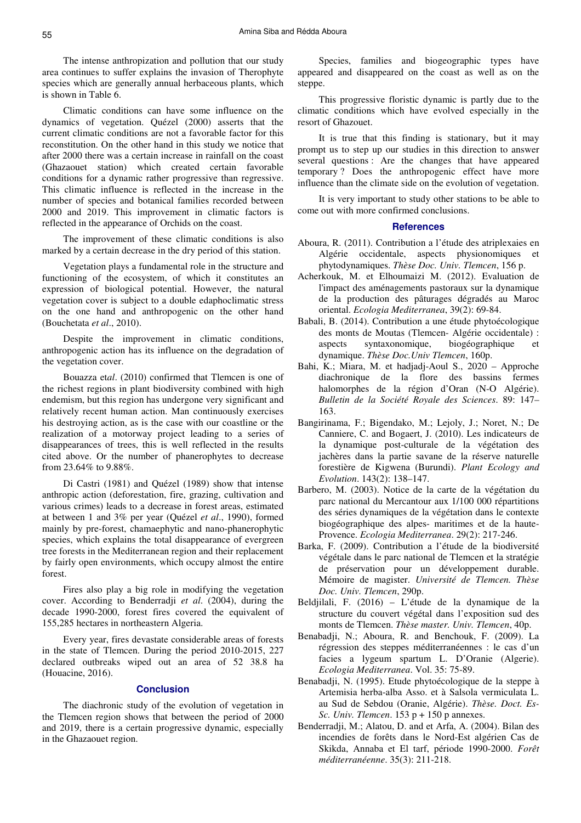The intense anthropization and pollution that our study area continues to suffer explains the invasion of Therophyte species which are generally annual herbaceous plants, which is shown in Table 6.

Climatic conditions can have some influence on the dynamics of vegetation. Quézel (2000) asserts that the current climatic conditions are not a favorable factor for this reconstitution. On the other hand in this study we notice that after 2000 there was a certain increase in rainfall on the coast (Ghazaouet station) which created certain favorable conditions for a dynamic rather progressive than regressive. This climatic influence is reflected in the increase in the number of species and botanical families recorded between 2000 and 2019. This improvement in climatic factors is reflected in the appearance of Orchids on the coast.

The improvement of these climatic conditions is also marked by a certain decrease in the dry period of this station.

Vegetation plays a fundamental role in the structure and functioning of the ecosystem, of which it constitutes an expression of biological potential. However, the natural vegetation cover is subject to a double edaphoclimatic stress on the one hand and anthropogenic on the other hand (Bouchetata *et al*., 2010).

Despite the improvement in climatic conditions, anthropogenic action has its influence on the degradation of the vegetation cover.

Bouazza et*al*. (2010) confirmed that Tlemcen is one of the richest regions in plant biodiversity combined with high endemism, but this region has undergone very significant and relatively recent human action. Man continuously exercises his destroying action, as is the case with our coastline or the realization of a motorway project leading to a series of disappearances of trees, this is well reflected in the results cited above. Or the number of phanerophytes to decrease from 23.64% to 9.88%.

Di Castri (1981) and Quézel (1989) show that intense anthropic action (deforestation, fire, grazing, cultivation and various crimes) leads to a decrease in forest areas, estimated at between 1 and 3% per year (Quézel *et al*., 1990), formed mainly by pre-forest, chamaephytic and nano-phanerophytic species, which explains the total disappearance of evergreen tree forests in the Mediterranean region and their replacement by fairly open environments, which occupy almost the entire forest.

Fires also play a big role in modifying the vegetation cover. According to Benderradji *et al*. (2004), during the decade 1990-2000, forest fires covered the equivalent of 155,285 hectares in northeastern Algeria.

Every year, fires devastate considerable areas of forests in the state of Tlemcen. During the period 2010-2015, 227 declared outbreaks wiped out an area of 52 38.8 ha (Houacine, 2016).

## **Conclusion**

The diachronic study of the evolution of vegetation in the Tlemcen region shows that between the period of 2000 and 2019, there is a certain progressive dynamic, especially in the Ghazaouet region.

Species, families and biogeographic types have appeared and disappeared on the coast as well as on the steppe.

This progressive floristic dynamic is partly due to the climatic conditions which have evolved especially in the resort of Ghazouet.

It is true that this finding is stationary, but it may prompt us to step up our studies in this direction to answer several questions : Are the changes that have appeared temporary ? Does the anthropogenic effect have more influence than the climate side on the evolution of vegetation.

It is very important to study other stations to be able to come out with more confirmed conclusions.

#### **References**

- Aboura, R. (2011). Contribution a l'étude des atriplexaies en Algérie occidentale, aspects physionomiques et phytodynamiques. *Thèse Doc. Univ. Tlemcen*, 156 p.
- Acherkouk, M. et Elhoumaizi M. (2012). Evaluation de l'impact des aménagements pastoraux sur la dynamique de la production des pâturages dégradés au Maroc oriental. *Ecologia Mediterranea*, 39(2): 69-84.
- Babali, B. (2014). Contribution a une étude phytoécologique des monts de Moutas (Tlemcen- Algérie occidentale) : aspects syntaxonomique, biogéographique et dynamique. *Thèse Doc.Univ Tlemcen*, 160p.
- Bahi, K.; Miara, M. et hadjadj-Aoul S., 2020 Approche diachronique de la flore des bassins fermes halomorphes de la région d'Oran (N-O Algérie). *Bulletin de la Société Royale des Sciences*. 89: 147– 163.
- Bangirinama, F.; Bigendako, M.; Lejoly, J.; Noret, N.; De Canniere, C. and Bogaert, J. (2010). Les indicateurs de la dynamique post-culturale de la végétation des jachères dans la partie savane de la réserve naturelle forestière de Kigwena (Burundi). *Plant Ecology and Evolution*. 143(2): 138–147.
- Barbero, M. (2003). Notice de la carte de la végétation du parc national du Mercantour aux 1/100 000 répartitions des séries dynamiques de la végétation dans le contexte biogéographique des alpes- maritimes et de la haute-Provence. *Ecologia Mediterranea*. 29(2): 217-246.
- Barka, F. (2009). Contribution a l'étude de la biodiversité végétale dans le parc national de Tlemcen et la stratégie de préservation pour un développement durable. Mémoire de magister. *Université de Tlemcen. Thèse Doc. Univ. Tlemcen*, 290p.
- Beldjilali, F. (2016) L'étude de la dynamique de la structure du couvert végétal dans l'exposition sud des monts de Tlemcen. *Thèse master. Univ. Tlemcen*, 40p.
- Benabadji, N.; Aboura, R. and Benchouk, F. (2009). La régression des steppes méditerranéennes : le cas d'un facies a lygeum spartum L. D'Oranie (Algerie). *Ecologia Mediterranea*. Vol. 35: 75-89.
- Benabadji, N. (1995). Etude phytoécologique de la steppe à Artemisia herba-alba Asso. et à Salsola vermiculata L. au Sud de Sebdou (Oranie, Algérie). *Thèse. Doct. Es-Sc. Univ. Tlemcen*. 153 p + 150 p annexes.
- Benderradji, M.; Alatou, D. and et Arfa, A. (2004). Bilan des incendies de forêts dans le Nord-Est algérien Cas de Skikda, Annaba et El tarf, période 1990-2000. *Forêt méditerranéenne*. 35(3): 211-218.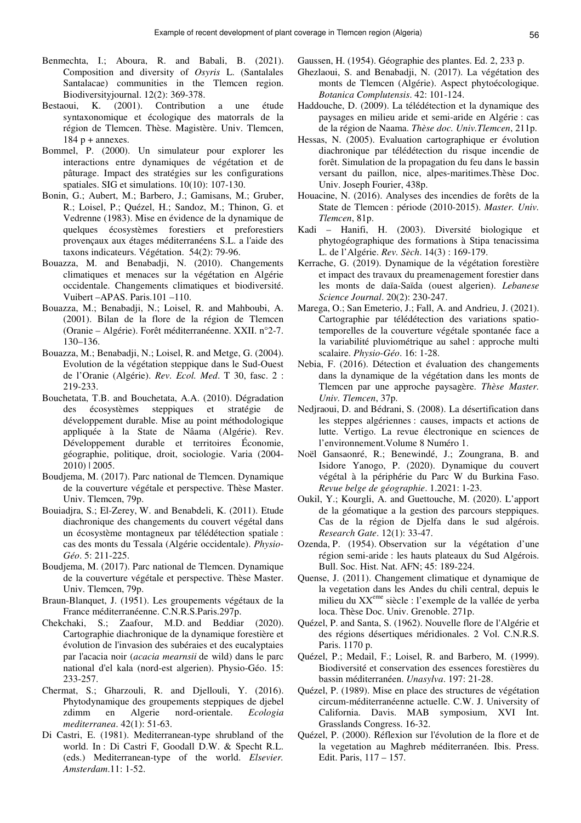- Benmechta, I.; Aboura, R. and Babali, B. (2021). Composition and diversity of *Osyris* L. (Santalales Santalacae) communities in the Tlemcen region. Biodiversityjournal. 12(2): 369-378.
- Bestaoui, K. (2001). Contribution a une étude syntaxonomique et écologique des matorrals de la région de Tlemcen. Thèse. Magistère. Univ. Tlemcen,  $184 p + \text{annexes.}$
- Bommel, P. (2000). Un simulateur pour explorer les interactions entre dynamiques de végétation et de pâturage. Impact des stratégies sur les configurations spatiales. SIG et simulations. 10(10): 107-130.
- Bonin, G.; Aubert, M.; Barbero, J.; Gamisans, M.; Gruber, R.; Loisel, P.; Quézel, H.; Sandoz, M.; Thinon, G. et Vedrenne (1983). Mise en évidence de la dynamique de quelques écosystèmes forestiers et preforestiers provençaux aux étages méditerranéens S.L. a l'aide des taxons indicateurs. Végétation. 54(2): 79-96.
- Bouazza, M. and Benabadji, N. (2010). Changements climatiques et menaces sur la végétation en Algérie occidentale. Changements climatiques et biodiversité. Vuibert –APAS. Paris.101 –110.
- Bouazza, M.; Benabadji, N.; Loisel, R. and Mahboubi, A. (2001). Bilan de la flore de la région de Tlemcen (Oranie – Algérie). Forêt méditerranéenne. XXII. n°2-7. 130–136.
- Bouazza, M.; Benabadji, N.; Loisel, R. and Metge, G. (2004). Evolution de la végétation steppique dans le Sud-Ouest de l'Oranie (Algérie). *Rev. Ecol. Med*. T 30, fasc. 2 : 219-233.
- Bouchetata, T.B. and Bouchetata, A.A. (2010). Dégradation des écosystèmes steppiques et stratégie de développement durable. Mise au point méthodologique appliquée à la State de Nâama (Algérie). Rev. Développement durable et territoires Économie, géographie, politique, droit, sociologie. Varia (2004- 2010) | 2005.
- Boudjema, M. (2017). Parc national de Tlemcen. Dynamique de la couverture végétale et perspective. Thèse Master. Univ. Tlemcen, 79p.
- Bouiadjra, S.; El-Zerey, W. and Benabdeli, K. (2011). Etude diachronique des changements du couvert végétal dans un écosystème montagneux par télédétection spatiale : cas des monts du Tessala (Algérie occidentale). *Physio-Géo*. 5: 211-225.
- Boudjema, M. (2017). Parc national de Tlemcen. Dynamique de la couverture végétale et perspective. Thèse Master. Univ. Tlemcen, 79p.
- Braun-Blanquet, J. (1951). Les groupements végétaux de la France méditerranéenne. C.N.R.S.Paris.297p.
- Chekchaki, S.; Zaafour, M.D. and Beddiar (2020). Cartographie diachronique de la dynamique forestière et évolution de l'invasion des subéraies et des eucalyptaies par l'acacia noir (*acacia mearnsii* de wild) dans le parc national d'el kala (nord-est algerien). Physio-Géo. 15: 233-257.
- Chermat, S.; Gharzouli, R. and Djellouli, Y. (2016). Phytodynamique des groupements steppiques de djebel zdimm en Algerie nord-orientale. *Ecologia mediterranea*. 42(1): 51-63.
- Di Castri, E. (1981). Mediterranean-type shrubland of the world. In : Di Castri F, Goodall D.W. & Specht R.L. (eds.) Mediterranean-type of the world. *Elsevier. Amsterdam*.11: 1-52.

Gaussen, H. (1954). Géographie des plantes. Ed. 2, 233 p.

- Ghezlaoui, S. and Benabadji, N. (2017). La végétation des monts de Tlemcen (Algérie). Aspect phytoécologique. *Botanica Complutensis*. 42: 101-124.
- Haddouche, D. (2009). La télédétection et la dynamique des paysages en milieu aride et semi-aride en Algérie : cas de la région de Naama. *Thèse doc. Univ.Tlemcen*, 211p.
- Hessas, N. (2005). Evaluation cartographique er évolution diachronique par télédétection du risque incendie de forêt. Simulation de la propagation du feu dans le bassin versant du paillon, nice, alpes-maritimes.Thèse Doc. Univ. Joseph Fourier, 438p.
- Houacine, N. (2016). Analyses des incendies de forêts de la State de Tlemcen : période (2010-2015). *Master. Univ. Tlemcen*, 81p.
- Kadi Hanifi, H. (2003). Diversité biologique et phytogéographique des formations à Stipa tenacissima L. de l'Algérie. *Rev. Sèch*. 14(3) : 169-179.
- Kerrache, G. (2019). Dynamique de la végétation forestière et impact des travaux du preamenagement forestier dans les monts de daïa-Saïda (ouest algerien). *Lebanese Science Journal*. 20(2): 230-247.
- Marega, O.; San Emeterio, J.; Fall, A. and Andrieu, J. (2021). Cartographie par télédétection des variations spatiotemporelles de la couverture végétale spontanée face a la variabilité pluviométrique au sahel : approche multi scalaire. *Physio-Géo*. 16: 1-28.
- Nebia, F. (2016). Détection et évaluation des changements dans la dynamique de la végétation dans les monts de Tlemcen par une approche paysagère. *Thèse Master. Univ. Tlemcen*, 37p.
- Nedjraoui, D. and Bédrani, S. (2008). La désertification dans les steppes algériennes : causes, impacts et actions de lutte. Vertigo. La revue électronique en sciences de l'environnement.Volume 8 Numéro 1.
- Noël Gansaonré, R.; Benewindé, J.; Zoungrana, B. and Isidore Yanogo, P. (2020). Dynamique du couvert végétal à la périphérie du Parc W du Burkina Faso. *Revue belge de géographie*. 1.2021: 1-23.
- Oukil, Y.; Kourgli, A. and Guettouche, M. (2020). L'apport de la géomatique a la gestion des parcours steppiques. Cas de la région de Djelfa dans le sud algérois. *Research Gate*. 12(1): 33-47.
- Ozenda, P. (1954). Observation sur la végétation d'une région semi-aride : les hauts plateaux du Sud Algérois. Bull. Soc. Hist. Nat. AFN; 45: 189-224.
- Quense, J. (2011). Changement climatique et dynamique de la vegetation dans les Andes du chili central, depuis le milieu du XXeme siècle : l'exemple de la vallée de yerba loca. Thèse Doc. Univ. Grenoble. 271p.
- Quézel, P. and Santa, S. (1962). Nouvelle flore de l'Algérie et des régions désertiques méridionales. 2 Vol. C.N.R.S. Paris. 1170 p.
- Quézel, P.; Medail, F.; Loisel, R. and Barbero, M. (1999). Biodiversité et conservation des essences forestières du bassin méditerranéen. *Unasylva*. 197: 21-28.
- Quézel, P. (1989). Mise en place des structures de végétation circum-méditerranéenne actuelle. C.W. J. University of California. Davis. MAB symposium, XVI Int. Grasslands Congress. 16-32.
- Quézel, P. (2000). Réflexion sur l'évolution de la flore et de la vegetation au Maghreb méditerranéen. Ibis. Press. Edit. Paris, 117 – 157.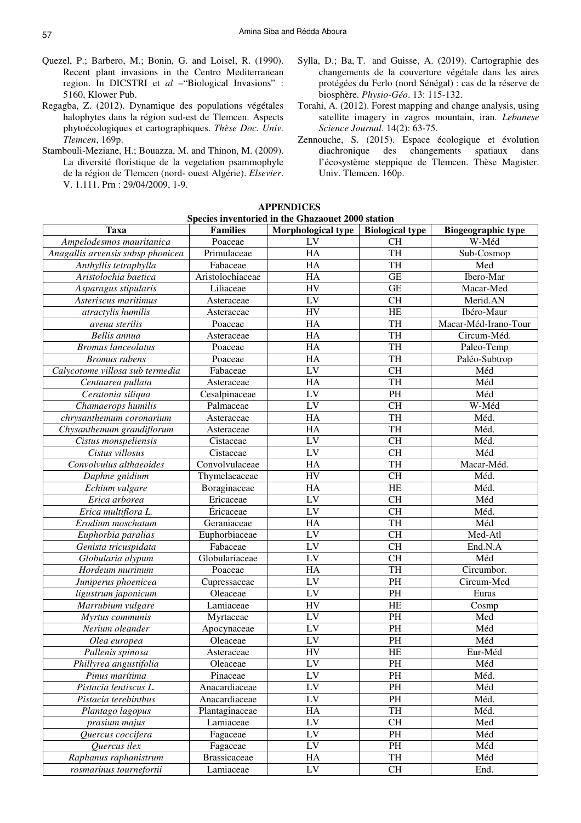- Quezel, P.; Barbero, M.; Bonin, G. and Loisel, R. (1990). Recent plant invasions in the Centro Mediterranean region. In DICSTRI et *al* –"Biological Invasions" : 5160, Klower Pub.
- Regagba, Z. (2012). Dynamique des populations végétales halophytes dans la région sud-est de Tlemcen. Aspects phytoécologiques et cartographiques. *Thèse Doc. Univ. Tlemcen*, 169p.
- Stambouli-Meziane, H.; Bouazza, M. and Thinon, M. (2009). La diversité floristique de la vegetation psammophyle de la région de Tlemcen (nord- ouest Algérie). *Elsevier*. V. 1.111. Prn : 29/04/2009, 1-9.
- Sylla, D.; Ba, T. and Guisse, A. (2019). Cartographie des changements de la couverture végétale dans les aires protégées du Ferlo (nord Sénégal) : cas de la réserve de biosphère. *Physio-Géo*. 13: 115-132.
- Torahi, A. (2012). Forest mapping and change analysis, using satellite imagery in zagros mountain, iran. *Lebanese Science Journal*. 14(2): 63-75.
- Zennouche, S. (2015). Espace écologique et évolution diachronique des changements spatiaux dans l'écosystème steppique de Tlemcen. Thèse Magister. Univ. Tlemcen. 160p.

| Species inventoried in the Ghazaouet 2000 station |                     |                    |                        |                                 |  |  |  |
|---------------------------------------------------|---------------------|--------------------|------------------------|---------------------------------|--|--|--|
| <b>Taxa</b>                                       | <b>Families</b>     | Morphological type | <b>Biological type</b> | <b>Biogeographic type</b>       |  |  |  |
| Ampelodesmos mauritanica                          | Poaceae             | $L\overline{V}$    | <b>CH</b>              | W-Méd                           |  |  |  |
| Anagallis arvensis subsp phonicea                 | Primulaceae         | HA                 | TH                     | $\overline{\text{Sub}}$ -Cosmop |  |  |  |
| Anthyllis tetraphylla                             | Fabaceae            | HA                 | TH                     | Med                             |  |  |  |
| Aristolochia baetica                              | Aristolochiaceae    | HA                 | GE                     | Ibero-Mar                       |  |  |  |
| Asparagus stipularis                              | Liliaceae           | <b>HV</b>          | $\overline{\text{GE}}$ | Macar-Med                       |  |  |  |
| Asteriscus maritimus                              | Asteraceae          | LV                 | <b>CH</b>              | Merid.AN                        |  |  |  |
| atractylis humilis                                | Asteraceae          | <b>HV</b>          | HE                     | Ibéro-Maur                      |  |  |  |
| avena sterilis                                    | Poaceae             | HA                 | TH                     | Macar-Méd-Irano-Tour            |  |  |  |
| Bellis annua                                      | Asteraceae          | HA                 | TH                     | Circum-Méd.                     |  |  |  |
| <b>Bromus</b> lanceolatus                         | Poaceae             | HA                 | TH                     | Paleo-Temp                      |  |  |  |
| <b>Bromus</b> rubens                              | Poaceae             | HA                 | TH                     | Paléo-Subtrop                   |  |  |  |
| Calycotome villosa sub termedia                   | Fabaceae            | LV                 | CH                     | Méd                             |  |  |  |
| Centaurea pullata                                 | Asteraceae          | HA                 | TH                     | Méd                             |  |  |  |
| Ceratonia siliqua                                 | Cesalpinaceae       | LV                 | $\overline{PH}$        | Méd                             |  |  |  |
| Chamaerops humilis                                | Palmaceae           | LV                 | CH                     | W-Méd                           |  |  |  |
| chrysanthemum coronarium                          | Asteraceae          | HA                 | TH                     | Méd.                            |  |  |  |
| Chysanthemum grandiflorum                         | Asteraceae          | HA                 | <b>TH</b>              | Méd.                            |  |  |  |
| Cistus monspeliensis                              | Cistaceae           | LV                 | CH                     | Méd.                            |  |  |  |
| Cistus villosus                                   | Cistaceae           | LV                 | <b>CH</b>              | Méd                             |  |  |  |
| Convolvulus althaeoides                           | Convolvulaceae      | HA                 | <b>TH</b>              | Macar-Méd.                      |  |  |  |
|                                                   | Thymelaeaceae       | HV                 | CH                     | Méd.                            |  |  |  |
| Daphne gnidium                                    | Boraginaceae        | HA                 | HE                     | Méd.                            |  |  |  |
| Echium vulgare<br>Erica arborea                   | Ericaceae           | LV                 | CH                     | Méd                             |  |  |  |
| Erica multiflora L.                               | Éricaceae           | LV                 | <b>CH</b>              | Méd.                            |  |  |  |
| Erodium moschatum                                 |                     |                    | <b>TH</b>              |                                 |  |  |  |
|                                                   | Geraniaceae         | HA                 |                        | Méd                             |  |  |  |
| Euphorbia paralias                                | Euphorbiaceae       | LV                 | CH                     | Med-Atl                         |  |  |  |
| Genista tricuspidata                              | Fabaceae            | LV                 | <b>CH</b>              | End.N.A                         |  |  |  |
| Globularia alypum                                 | Globulariaceae      | LV                 | <b>CH</b>              | Méd                             |  |  |  |
| Hordeum murinum                                   | Poaceae             | HA                 | <b>TH</b>              | Circumbor.                      |  |  |  |
| Juniperus phoenicea                               | Cupressaceae        | LV                 | PH                     | Circum-Med                      |  |  |  |
| ligustrum japonicum                               | Oleaceae            | LV                 | PH                     | Euras                           |  |  |  |
| Marrubium vulgare                                 | Lamiaceae           | HV                 | HE                     | Cosmp                           |  |  |  |
| Myrtus communis                                   | Myrtaceae           | LV                 | PH                     | Med                             |  |  |  |
| Nerium oleander                                   | Apocynaceae         | LV                 | PH                     | Méd                             |  |  |  |
| Olea europea                                      | Oleaceae            | LV                 | PH                     | Méd                             |  |  |  |
| Pallenis spinosa                                  | Asteraceae          | ${\rm HV}$         | $\rm HE$               | Eur-Méd                         |  |  |  |
| Phillyrea angustifolia                            | Oleaceae            | ${\rm LV}$         | PH                     | Méd                             |  |  |  |
| Pinus marítima                                    | Pinaceae            | ${\rm LV}$         | PH                     | Méd.                            |  |  |  |
| Pistacia lentiscus L.                             | Anacardiaceae       | ${\rm LV}$         | PH                     | Méd                             |  |  |  |
| Pistacia terebinthus                              | Anacardiaceae       | ${\rm LV}$         | PH                     | Méd.                            |  |  |  |
| Plantago lagopus                                  | Plantaginaceae      | HA                 | TH                     | Méd.                            |  |  |  |
| prasium majus                                     | Lamiaceae           | ${\rm LV}$         | CH                     | Med                             |  |  |  |
| Quercus coccifera                                 | Fagaceae            | ${\rm LV}$         | PH                     | Méd                             |  |  |  |
| Quercus ilex                                      | Fagaceae            | LV                 | PH                     | Méd                             |  |  |  |
| Raphanus raphanistrum                             | <b>Brassicaceae</b> | HA                 | TH                     | Méd                             |  |  |  |
| rosmarinus tournefortii                           | Lamiaceae           | ${\rm LV}$         | CH                     | End.                            |  |  |  |

**APPENDICES**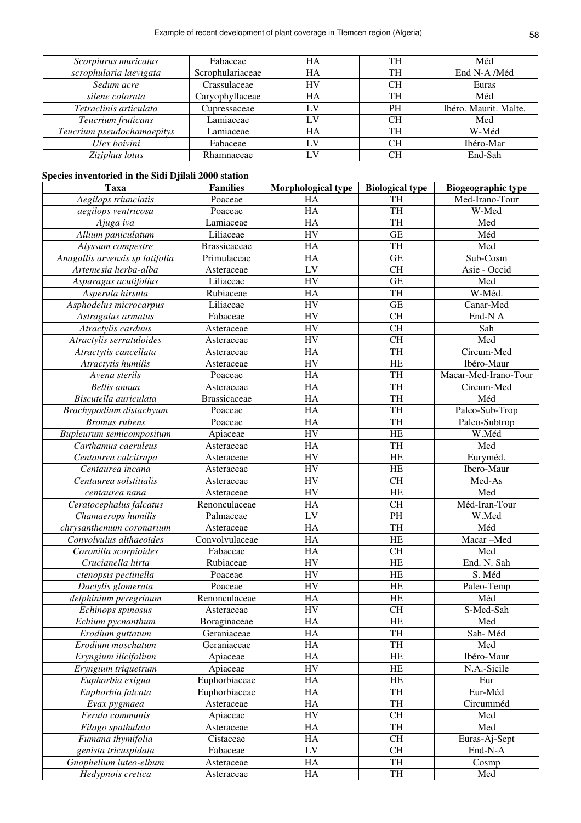| Scorpiurus muricatus       | Fabaceae         | HA | TH | Méd                   |
|----------------------------|------------------|----|----|-----------------------|
| scrophularia laevigata     | Scrophulariaceae | HA | TH | End N-A /Méd          |
| Sedum acre                 | Crassulaceae     | HV | CН | Euras                 |
| silene colorata            | Caryophyllaceae  | HA | TH | Méd                   |
| Tetraclinis articulata     | Cupressaceae     | LV | PH | Ibéro. Maurit. Malte. |
| Teucrium fruticans         | Lamiaceae        | LV | CН | Med                   |
| Teucrium pseudochamaepitys | Lamiaceae        | HA | TH | W-Méd                 |
| Ulex boivini               | Fabaceae         | LV | CН | Ibéro-Mar             |
| Ziziphus lotus             | Rhamnaceae       | LV | CН | End-Sah               |

# **Species inventoried in the Sidi Djilali 2000 station**

| <b>Taxa</b>                     | <b>Families</b>     | Morphological type     | <b>Biological type</b> | <b>Biogeographic type</b> |
|---------------------------------|---------------------|------------------------|------------------------|---------------------------|
| Aegilops triunciatis            | Poaceae             | HA                     | <b>TH</b>              | Med-Irano-Tour            |
| aegilops ventricosa             | Poaceae             | HA                     | <b>TH</b>              | W-Med                     |
| Ajuga iva                       | Lamiaceae           | HA                     | <b>TH</b>              | Med                       |
| Allium paniculatum              | Liliaceae           | <b>HV</b>              | <b>GE</b>              | Méd                       |
| Alyssum compestre               | <b>Brassicaceae</b> | HA                     | <b>TH</b>              | Med                       |
| Anagallis arvensis sp latifolia | Primulaceae         | HA                     | <b>GE</b>              | Sub-Cosm                  |
| Artemesia herba-alba            | Asteraceae          | LV                     | <b>CH</b>              | Asie - Occid              |
| Asparagus acutifolius           | Liliaceae           | <b>HV</b>              | $\overline{\text{GE}}$ | Med                       |
| Asperula hirsuta                | Rubiaceae           | HA                     | <b>TH</b>              | W-Méd.                    |
| Asphodelus microcarpus          | Liliaceae           | <b>HV</b>              | <b>GE</b>              | Canar-Med                 |
| Astragalus armatus              | Fabaceae            | <b>HV</b>              | $\overline{\text{CH}}$ | End-N A                   |
| Atractylis carduus              | Asteraceae          | <b>HV</b>              | $\overline{\text{CH}}$ | Sah                       |
| Atractylis serratuloides        | Asteraceae          | <b>HV</b>              | <b>CH</b>              | Med                       |
| Atractytis cancellata           | Asteraceae          | HA                     | <b>TH</b>              | Circum-Med                |
| Atractytis humilis              | Asteraceae          | <b>HV</b>              | <b>HE</b>              | Ibéro-Maur                |
| Avena sterils                   | Poaceae             | HA                     | <b>TH</b>              | Macar-Med-Irano-Tour      |
| Bellis annua                    | Asteraceae          | HA                     | <b>TH</b>              | Circum-Med                |
| Biscutella auriculata           | <b>Brassicaceae</b> | HA                     | <b>TH</b>              | Méd                       |
| Brachypodium distachyum         | Poaceae             | HA                     | <b>TH</b>              | Paleo-Sub-Trop            |
| <b>Bromus</b> rubens            | Poaceae             | HA                     | <b>TH</b>              | Paleo-Subtrop             |
| Bupleurum semicompositum        | Apiaceae            | <b>HV</b>              | <b>HE</b>              | W.Méd                     |
| Carthamus caeruleus             | Asteraceae          | HA                     | <b>TH</b>              | Med                       |
| Centaurea calcitrapa            | Asteraceae          | <b>HV</b>              | HE                     | Euryméd.                  |
| Centaurea incana                | Asteraceae          | <b>HV</b>              | <b>HE</b>              | Ibero-Maur                |
| Centaurea solstitialis          | Asteraceae          | <b>HV</b>              | <b>CH</b>              | Med-As                    |
| centaurea nana                  | Asteraceae          | <b>HV</b>              | <b>HE</b>              | Med                       |
| Ceratocephalus falcatus         | Renonculaceae       | HA                     | <b>CH</b>              | Méd-Iran-Tour             |
| Chamaerops humilis              | Palmaceae           | LV                     | PH                     | W.Med                     |
| chrysanthemum coronarium        | Asteraceae          | HA                     | <b>TH</b>              | Méd                       |
| Convolvulus althaeoïdes         | Convolvulaceae      | HA                     | <b>HE</b>              | Macar-Med                 |
| Coronilla scorpioides           | Fabaceae            | HA                     | <b>CH</b>              | Med                       |
| Crucianella hirta               | Rubiaceae           | <b>HV</b>              | HE                     | End. N. Sah               |
| ctenopsis pectinella            | Poaceae             | <b>HV</b>              | HE                     | S. Méd                    |
| Dactylis glomerata              | Poaceae             | <b>HV</b>              | HE                     | Paleo-Temp                |
| delphinium peregrinum           | Renonculaceae       | HA                     | <b>HE</b>              | Méd                       |
| Echinops spinosus               | Asteraceae          | <b>HV</b>              | <b>CH</b>              | S-Med-Sah                 |
| Echium pycnanthum               | Boraginaceae        | $\overline{\text{HA}}$ | HE                     | Med                       |
| Erodium guttatum                | Geraniaceae         | HA                     | TH                     | Sah-Méd                   |
| Erodium moschatum               | Geraniaceae         | HA                     | TH                     | Med                       |
| Eryngium ilicifolium            | Apiaceae            | HA                     | HE                     | Ibéro-Maur                |
| Eryngium triquetrum             | Apiaceae            | <b>HV</b>              | HE                     | N.A.-Sicile               |
| Euphorbia exigua                | Euphorbiaceae       | HA                     | $\rm HE$               | Eur                       |
| Euphorbia falcata               | Euphorbiaceae       | HA                     | TH                     | Eur-Méd                   |
| Evax pygmaea                    | Asteraceae          | HA                     | TH                     | Circumméd                 |
| Ferula communis                 | Apiaceae            | <b>HV</b>              | <b>CH</b>              | Med                       |
| Filago spathulata               | Asteraceae          | HA                     | TH                     | Med                       |
| Fumana thymifolia               | Cistaceae           | HA                     | <b>CH</b>              | Euras-Aj-Sept             |
| genista tricuspidata            | Fabaceae            | LV                     | <b>CH</b>              | End-N-A                   |
| Gnophelium luteo-elbum          | Asteraceae          | HA                     | TH                     | Cosmp                     |
| Hedypnois cretica               | Asteraceae          | HA                     | TH                     | Med                       |
|                                 |                     |                        |                        |                           |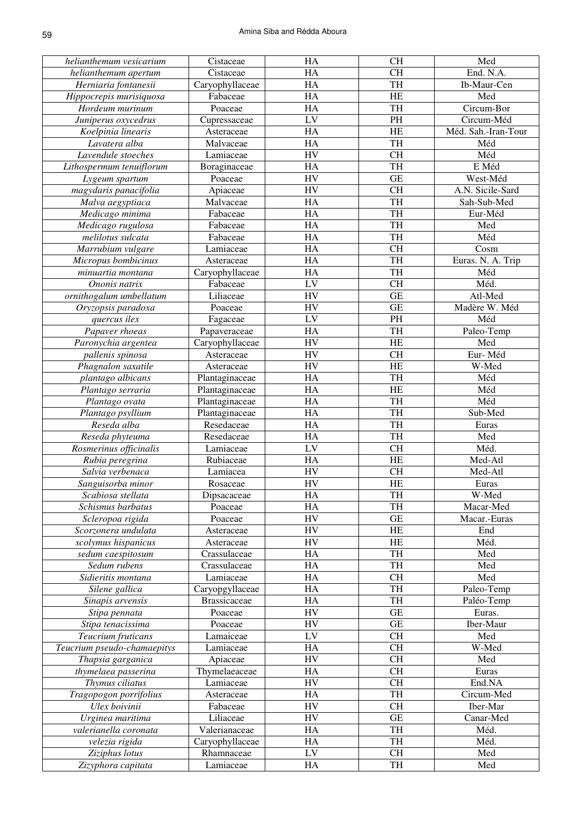| helianthemum vesicarium     | Cistaceae           | HA        | <b>CH</b>              | Med                 |
|-----------------------------|---------------------|-----------|------------------------|---------------------|
| helianthemum apertum        | Cistaceae           | HA        | <b>CH</b>              | End. N.A.           |
| Herniaria fontanesii        | Caryophyllaceae     | HA        | <b>TH</b>              | Ib-Maur-Cen         |
| Hippocrepis murisiquosa     | Fabaceae            | HA        | <b>HE</b>              | Med                 |
| Hordeum murinum             | Poaceae             | HA        | <b>TH</b>              | Circum-Bor          |
| Juniperus oxycedrus         | Cupressaceae        | LV        | PH                     | Circum-Méd          |
| Koelpinia linearis          | Asteraceae          | HA        | <b>HE</b>              | Méd. Sah.-Iran-Tour |
| Lavatera alba               | Malvaceae           | HA        | <b>TH</b>              | Méd                 |
| Lavendule stoeches          | Lamiaceae           | HV        | <b>CH</b>              | Méd                 |
| Lithospermum tenuiflorum    | Boraginaceae        | HA        | <b>TH</b>              | E Méd               |
| Lygeum spartum              | Poaceae             | HV        | <b>GE</b>              | West-Méd            |
| magydaris panacifolia       | Apiaceae            | HV        | $\overline{\text{CH}}$ | A.N. Sicile-Sard    |
| Malva aegyptiaca            | Malvaceae           | HA        | TH                     | Sah-Sub-Med         |
| Medicago minima             | Fabaceae            | HA        | TH                     | Eur-Méd             |
| Medicago rugulosa           | Fabaceae            | HA        | TH                     | Med                 |
| melilotus sulcata           | Fabaceae            | HA        | TH                     | Méd                 |
| Marrubium vulgare           | Lamiaceae           | HA        | $\overline{\text{CH}}$ | Cosm                |
|                             |                     | HA        | TH                     |                     |
| Micropus bombicinus         | Asteraceae          |           |                        | Euras. N. A. Trip   |
| minuartia montana           | Caryophyllaceae     | HA        | TH                     | Méd                 |
| Ononis natrix               | Fabaceae            | LV        | $\overline{\text{CH}}$ | Méd.                |
| ornithogalum umbellatum     | Liliaceae           | HV        | $\overline{\text{GE}}$ | Atl-Med             |
| Oryzopsis paradoxa          | Poaceae             | HV        | $\overline{\text{GE}}$ | Madère W. Méd       |
| quercus ilex                | Fagaceae            | LV        | $\overline{PH}$        | Méd                 |
| Papaver rhoeas              | Papaveraceae        | HA        | TH                     | Paleo-Temp          |
| Paronychia argentea         | Caryophyllaceae     | HV        | HE                     | Med                 |
| pallenis spinosa            | Asteraceae          | HV        | $\overline{\text{CH}}$ | Eur-Méd             |
| Phagnalon saxatile          | Asteraceae          | HV        | HE                     | W-Med               |
| plantago albicans           | Plantaginaceae      | HA        | TH                     | Méd                 |
| Plantago serraria           | Plantaginaceae      | HA        | HE                     | Méd                 |
| Plantago ovata              | Plantaginaceae      | HA        | TH                     | Méd                 |
| Plantago psyllium           | Plantaginaceae      | HA        | TH                     | Sub-Med             |
| Reseda alba                 | Resedaceae          | HA        | TH                     | Euras               |
| Reseda phyteuma             | Resedaceae          | HA        | TH                     | Med                 |
| Rosmerinus officinalis      | Lamiaceae           | LV        | $\overline{\text{CH}}$ | Méd.                |
| Rubia peregrina             | Rubiaceae           | HA        | HE                     | Med-Atl             |
| Salvia verbenaca            | Lamiacea            | HV        | <b>CH</b>              | Med-Atl             |
| Sanguisorba minor           | Rosaceae            | HV        | HE                     | Euras               |
| Scabiosa stellata           | Dipsacaceae         | <b>HA</b> | TH                     | W-Med               |
| Schismus barbatus           | Poaceae             | HA        | TH                     | Macar-Med           |
| Scleropoa rigida            | Poaceae             | <b>HV</b> | $\operatorname{GE}$    | Macar.-Euras        |
| Scorzonera undulata         |                     | <b>HV</b> | HE                     | End                 |
|                             | Asteraceae          |           |                        | Méd.                |
| scolymus hispanicus         | Asteraceae          | <b>HV</b> | HE                     |                     |
| sedum caespitosum           | Crassulaceae        | HA        | TH                     | Med                 |
| Sedum rubens                | Crassulaceae        | HA        | TH                     | Med                 |
| Sidieritis montana          | Lamiaceae           | HA        | <b>CH</b>              | Med                 |
| Silene gallica              | Caryopgyllaceae     | HA        | TH                     | Paleo-Temp          |
| Sinapis arvensis            | <b>Brassicaceae</b> | HA        | TH                     | Paléo-Temp          |
| Stipa pennata               | Poaceae             | <b>HV</b> | GE                     | Euras.              |
| Stipa tenacissima           | Poaceae             | <b>HV</b> | $\operatorname{GE}$    | Iber-Maur           |
| Teucrium fruticans          | Lamaiceae           | LV        | <b>CH</b>              | Med                 |
| Teucrium pseudo-chamaepitys | Lamiaceae           | HA        | CH                     | W-Med               |
| Thapsia garganica           | Apiaceae            | <b>HV</b> | CH                     | Med                 |
| thymelaea passerina         | Thymelaeaceae       | HA        | CH                     | Euras               |
| Thymus ciliatus             | Lamiaceae           | <b>HV</b> | CH                     | End.NA              |
| Tragopogon porrifolius      | Asteraceae          | HA        | TH                     | Circum-Med          |
| Ulex boivinii               | Fabaceae            | <b>HV</b> | <b>CH</b>              | Iber-Mar            |
| Urginea maritima            | Liliaceae           | <b>HV</b> | GE                     | Canar-Med           |
| valerianella coronata       | Valerianaceae       | HA        | TH                     | Méd.                |
| velezia rigida              | Caryophyllaceae     | HA        | TH                     | Méd.                |
| Ziziphus lotus              | Rhamnaceae          | LV        | <b>CH</b>              | Med                 |
| Zizyphora capitata          | Lamiaceae           | HA        | TH                     | Med                 |
|                             |                     |           |                        |                     |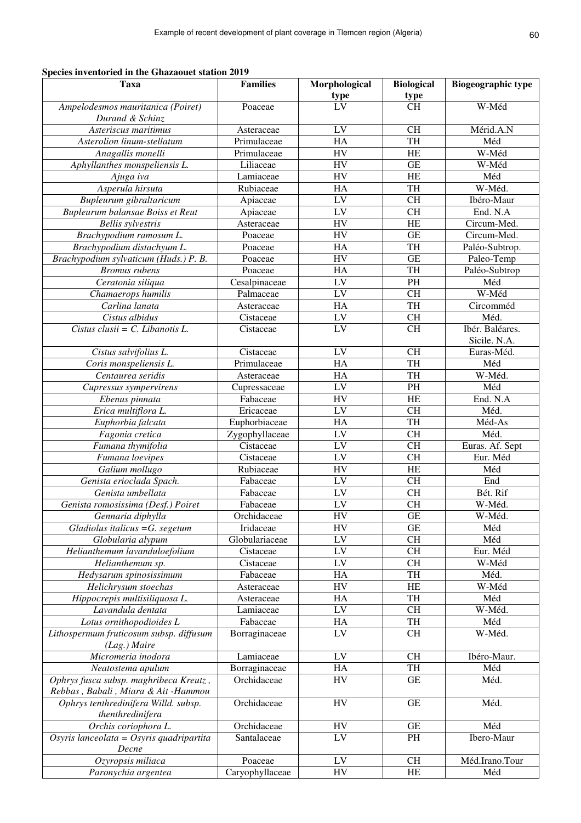**Species inventoried in the Ghazaouet station 2019** 

| Taxa                                     | <b>Families</b> | Morphological     | <b>Biological</b>   | <b>Biogeographic type</b> |
|------------------------------------------|-----------------|-------------------|---------------------|---------------------------|
|                                          |                 | $\frac{type}{LV}$ | type                |                           |
| Ampelodesmos mauritanica (Poiret)        | Poaceae         |                   | <b>CH</b>           | W-Méd                     |
| Durand & Schinz                          |                 |                   |                     |                           |
| Asteriscus maritimus                     | Asteraceae      | LV                | <b>CH</b>           | Mérid.A.N                 |
| Asterolion linum-stellatum               | Primulaceae     | HA                | TH                  | Méd                       |
| Anagallis monelli                        | Primulaceae     | <b>HV</b>         | <b>HE</b>           | W-Méd                     |
| Aphyllanthes monspeliensis L.            | Liliaceae       | HV                | GE                  | W-Méd                     |
| Ajuga iva                                | Lamiaceae       | HV                | HE                  | Méd                       |
| Asperula hirsuta                         | Rubiaceae       | HA                | TH                  | W-Méd.                    |
| Bupleurum gibraltaricum                  | Apiaceae        | LV                | <b>CH</b>           | Ibéro-Maur                |
| Bupleurum balansae Boiss et Reut         | Apiaceae        | LV                | <b>CH</b>           | End. N.A                  |
| <b>Bellis</b> sylvestris                 | Asteraceae      | <b>HV</b>         | <b>HE</b>           | Circum-Med.               |
| Brachypodium ramosum L.                  | Poaceae         | <b>HV</b>         | <b>GE</b>           | Circum-Med.               |
| Brachypodium distachyum L.               | Poaceae         | HA                | TH                  | Paléo-Subtrop.            |
| Brachypodium sylvaticum (Huds.) P. B.    | Poaceae         | <b>HV</b>         | <b>GE</b>           | Paleo-Temp                |
| <b>Bromus</b> rubens                     | Poaceae         | HA                | TH                  | Paléo-Subtrop             |
| Ceratonia siliqua                        | Cesalpinaceae   | LV                | PH                  | Méd                       |
| Chamaerops humilis                       | Palmaceae       | LV                | <b>CH</b>           | W-Méd                     |
| Carlina lanata                           | Asteraceae      | HA                | TH                  | Circomméd                 |
| Cistus albidus                           | Cistaceae       | LV                | <b>CH</b>           | Méd.                      |
| Cistus clusii = $C$ . Libanotis L.       | Cistaceae       | LV                | <b>CH</b>           | Ibér. Baléares.           |
|                                          |                 |                   |                     | Sicile. N.A.              |
| Cistus salvifolius L.                    | Cistaceae       | LV                | <b>CH</b>           | Euras-Méd.                |
| Coris monspeliensis L.                   | Primulaceae     | HA                | TH                  | Méd                       |
| Centaurea seridis                        | Asteraceae      | HA                | TH                  | W-Méd.                    |
| Cupressus sympervirens                   | Cupressaceae    | ${\rm LV}$        | PH                  | Méd                       |
| Ebenus pinnata                           | Fabaceae        | HV                | HE                  | End. N.A                  |
| Erica multiflora L.                      | Ericaceae       | LV                | <b>CH</b>           | Méd.                      |
| Euphorbia falcata                        | Euphorbiaceae   | HA                | TH                  | Méd-As                    |
| Fagonia cretica                          | Zygophyllaceae  | LV                | <b>CH</b>           | Méd.                      |
| Fumana thymifolia                        | Cistaceae       | ${\rm LV}$        | <b>CH</b>           | Euras. Af. Sept           |
| Fumana loevipes                          | Cistaceae       | ${\rm LV}$        | <b>CH</b>           | Eur. Méd                  |
| Galium mollugo                           | Rubiaceae       | HV                | HE                  | Méd                       |
| Genista erioclada Spach.                 | Fabaceae        | LV                | <b>CH</b>           | End                       |
| Genista umbellata                        | Fabaceae        | LV                | <b>CH</b>           | Bét. Rif                  |
| Genista romosissima (Desf.) Poiret       | Fabaceae        | ${\rm LV}$        | <b>CH</b>           | W-Méd.                    |
| Gennaria diphylla                        | Orchidaceae     | ${\rm HV}$        | <b>GE</b>           | W-Méd.                    |
| Gladiolus italicus $=G.$ segetum         | Iridaceae       | <b>HV</b>         | <b>GE</b>           | Méd                       |
| Globularia alypum                        | Globulariaceae  | LV                | <b>CH</b>           | Méd                       |
| Helianthemum lavanduloefolium            | Cistaceae       | LV                | CH                  | Eur. Méd                  |
| Helianthemum sp.                         | Cistaceae       | ${\rm LV}$        | CH                  | W-Méd                     |
| Hedysarum spinosissimum                  | Fabaceae        | HA                | TH                  | Méd.                      |
| Helichrysum stoechas                     | Asteraceae      | HV                | HE                  | W-Méd                     |
| Hippocrepis multisiliquosa L.            | Asteraceae      | HA                | TH                  | Méd                       |
| Lavandula dentata                        | Lamiaceae       | LV                | CH                  | W-Méd.                    |
| Lotus ornithopodioides L                 | Fabaceae        | HA                | TH                  | Méd                       |
| Lithospermum fruticosum subsp. diffusum  | Borraginaceae   | LV                | <b>CH</b>           | W-Méd.                    |
| (Lag.) Maire                             |                 |                   |                     |                           |
| Micromeria inodora                       | Lamiaceae       | ${\rm LV}$        | <b>CH</b>           | Ibéro-Maur.               |
| Neatostema apulum                        | Borraginaceae   | HA                | TH                  | Méd                       |
| Ophrys fusca subsp. maghribeca Kreutz,   | Orchidaceae     | HV                | <b>GE</b>           | Méd.                      |
| Rebbas, Babali, Miara & Ait-Hammou       |                 |                   |                     |                           |
| Ophrys tenthredinifera Willd. subsp.     | Orchidaceae     | ${\rm HV}$        | <b>GE</b>           | Méd.                      |
| thenthredinifera                         |                 |                   |                     |                           |
| Orchis coriophora L.                     | Orchidaceae     | HV                | $\operatorname{GE}$ | Méd                       |
| Osyris lanceolata = Osyris quadripartita | Santalaceae     | ${\rm LV}$        | PH                  | Ibero-Maur                |
| Decne                                    |                 |                   |                     |                           |
| Ozyropsis miliaca                        | Poaceae         | LV                | <b>CH</b>           | Méd.Irano.Tour            |
| Paronychia argentea                      | Caryophyllaceae | <b>HV</b>         | HE                  | Méd                       |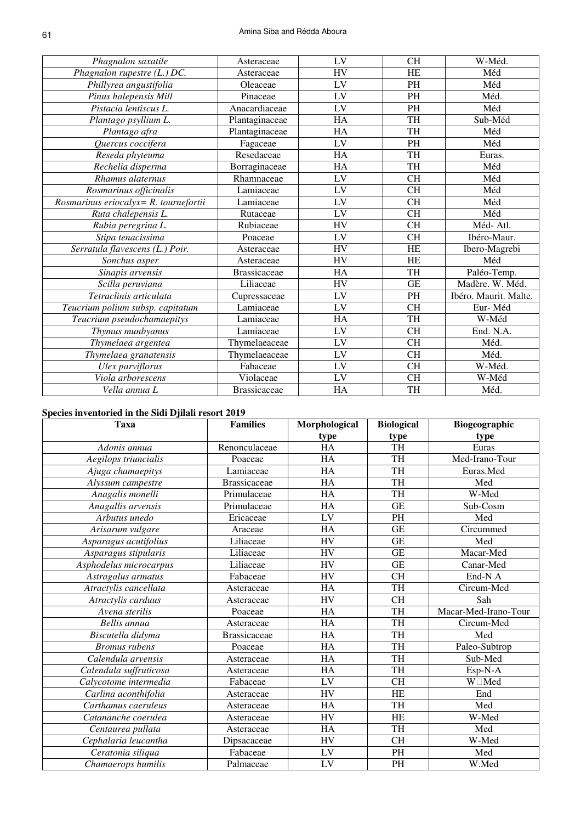| Phagnalon saxatile                                  | Asteraceae          | LV        | <b>CH</b> | W-Méd.                |
|-----------------------------------------------------|---------------------|-----------|-----------|-----------------------|
| Phagnalon rupestre (L.) DC.                         | Asteraceae          | <b>HV</b> | HE        | Méd                   |
| Phillyrea angustifolia                              | Oleaceae            | LV        | <b>PH</b> | Méd                   |
| Pinus halepensis Mill                               | Pinaceae            | LV        | <b>PH</b> | Méd.                  |
| Pistacia lentiscus L.                               | Anacardiaceae       | LV        | <b>PH</b> | Méd                   |
| Plantago psyllium L.                                | Plantaginaceae      | <b>HA</b> | TH        | Sub-Méd               |
| Plantago afra                                       | Plantaginaceae      | HA        | <b>TH</b> | Méd                   |
| Quercus coccifera                                   | Fagaceae            | LV        | PH        | Méd                   |
| Reseda phyteuma                                     | Resedaceae          | HA        | <b>TH</b> | Euras.                |
| Rechelia disperma                                   | Borraginaceae       | HA        | <b>TH</b> | Méd                   |
| Rhamus alaternus                                    | Rhamnaceae          | LV        | <b>CH</b> | Méd                   |
| Rosmarinus officinalis                              | Lamiaceae           | LV        | <b>CH</b> | Méd                   |
| $\overline{Ros}$ marinus eriocalyx= R. tournefortii | Lamiaceae           | LV        | <b>CH</b> | Méd                   |
| Ruta chalepensis L.                                 | Rutaceae            | LV        | <b>CH</b> | Méd                   |
| Rubia peregrina L.                                  | Rubiaceae           | <b>HV</b> | <b>CH</b> | Méd-Atl.              |
| Stipa tenacissima                                   | Poaceae             | LV        | <b>CH</b> | Ibéro-Maur.           |
| Serratula flavescens (L.) Poir.                     | Asteraceae          | <b>HV</b> | HE        | Ibero-Magrebi         |
| Sonchus asper                                       | Asteraceae          | <b>HV</b> | HE        | Méd                   |
| Sinapis arvensis                                    | <b>Brassicaceae</b> | <b>HA</b> | TH        | Paléo-Temp.           |
| Scilla peruviana                                    | Liliaceae           | <b>HV</b> | <b>GE</b> | Madère. W. Méd.       |
| Tetraclinis articulata                              | Cupressaceae        | LV        | PH        | Ibéro. Maurit. Malte. |
| Teucrium polium subsp. capitatum                    | Lamiaceae           | LV        | <b>CH</b> | Eur-Méd               |
| Teucrium pseudochamaepitys                          | Lamiaceae           | HA        | TH        | W-Méd                 |
| Thymus munbyanus                                    | Lamiaceae           | LV        | <b>CH</b> | End. N.A.             |
| Thymelaea argentea                                  | Thymelaeaceae       | LV        | <b>CH</b> | Méd.                  |
| Thymelaea granatensis                               | Thymelaeaceae       | LV        | <b>CH</b> | Méd.                  |
| Ulex parviflorus                                    | Fabaceae            | LV        | <b>CH</b> | W-Méd.                |
| Viola arborescens                                   | Violaceae           | LV        | <b>CH</b> | W-Méd                 |
| Vella annua L                                       | <b>Brassicaceae</b> | HA        | <b>TH</b> | Méd.                  |

# **Species inventoried in the Sidi Djilali resort 2019**

| <b>Taxa</b>            | <b>Families</b>     | Morphological | <b>Biological</b> | Biogeographic        |
|------------------------|---------------------|---------------|-------------------|----------------------|
|                        |                     | type          | type              | type                 |
| Adonis annua           | Renonculaceae       | <b>HA</b>     | <b>TH</b>         | Euras                |
| Aegilops triuncialis   | Poaceae             | HA            | <b>TH</b>         | Med-Irano-Tour       |
| Ajuga chamaepitys      | Lamiaceae           | HA            | TH                | Euras.Med            |
| Alyssum campestre      | <b>Brassicaceae</b> | HA            | <b>TH</b>         | Med                  |
| Anagalis monelli       | Primulaceae         | HA            | TH                | W-Med                |
| Anagallis arvensis     | Primulaceae         | HA            | <b>GE</b>         | Sub-Cosm             |
| Arbutus unedo          | Ericaceae           | LV            | <b>PH</b>         | Med                  |
| Arisarum vulgare       | Araceae             | <b>HA</b>     | <b>GE</b>         | Circummed            |
| Asparagus acutifolius  | Liliaceae           | <b>HV</b>     | <b>GE</b>         | Med                  |
| Asparagus stipularis   | Liliaceae           | <b>HV</b>     | <b>GE</b>         | Macar-Med            |
| Asphodelus microcarpus | Liliaceae           | HV            | <b>GE</b>         | Canar-Med            |
| Astragalus armatus     | Fabaceae            | <b>HV</b>     | <b>CH</b>         | End-N A              |
| Atractylis cancellata  | Asteraceae          | <b>HA</b>     | TH                | Circum-Med           |
| Atractylis carduus     | Asteraceae          | <b>HV</b>     | <b>CH</b>         | Sah                  |
| Avena sterilis         | Poaceae             | HA            | <b>TH</b>         | Macar-Med-Irano-Tour |
| Bellis annua           | Asteraceae          | HA            | <b>TH</b>         | Circum-Med           |
| Biscutella didyma      | <b>Brassicaceae</b> | HA            | <b>TH</b>         | Med                  |
| <b>Bromus</b> rubens   | Poaceae             | HA            | <b>TH</b>         | Paleo-Subtrop        |
| Calendula arvensis     | Asteraceae          | HA            | TH                | Sub-Med              |
| Calendula suffruticosa | Asteraceae          | <b>HA</b>     | <b>TH</b>         | Esp-N-A              |
| Calycotome intermedia  | Fabaceae            | LV            | <b>CH</b>         | W Med                |
| Carlina aconthifolia   | Asteraceae          | <b>HV</b>     | <b>HE</b>         | End                  |
| Carthamus caeruleus    | Asteraceae          | HA            | <b>TH</b>         | Med                  |
| Catananche coerulea    | Asteraceae          | HV            | <b>HE</b>         | W-Med                |
| Centaurea pullata      | Asteraceae          | HA            | TH                | Med                  |
| Cephalaria leucantha   | Dipsacaceae         | <b>HV</b>     | <b>CH</b>         | W-Med                |
| Ceratonia siliqua      | Fabaceae            | LV            | PH                | Med                  |
| Chamaerops humilis     | Palmaceae           | LV            | PH                | W.Med                |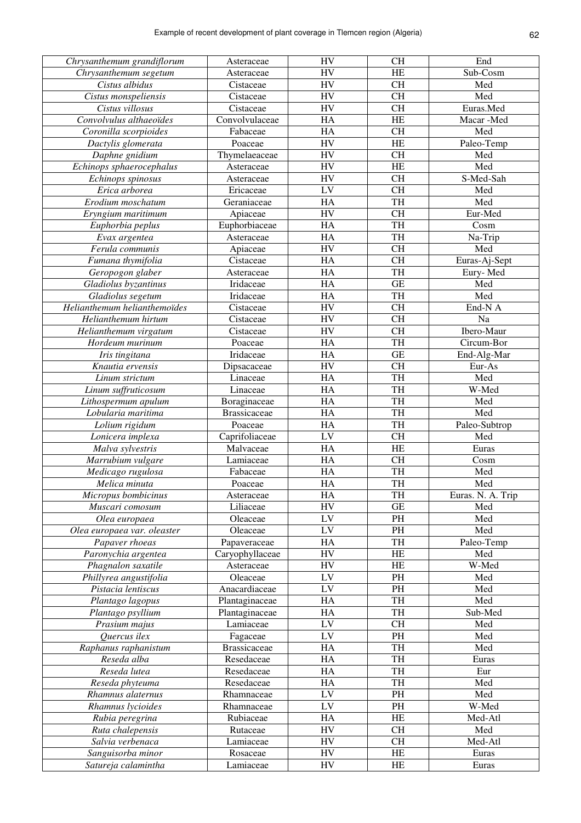| Chrysanthemum grandiflorum   | Asteraceae          | <b>HV</b>  | $\rm CH$            | End               |
|------------------------------|---------------------|------------|---------------------|-------------------|
| Chrysanthemum segetum        | Asteraceae          | <b>HV</b>  | HE                  | Sub-Cosm          |
| Cistus albidus               | Cistaceae           | ${\rm HV}$ | $\rm CH$            | Med               |
| Cistus monspeliensis         | Cistaceae           | ${\rm HV}$ | $\rm CH$            | Med               |
| Cistus villosus              | Cistaceae           | <b>HV</b>  | $\rm CH$            | Euras.Med         |
| Convolvulus althaeoïdes      | Convolvulaceae      | HA         | HE                  | Macar-Med         |
| Coronilla scorpioides        | Fabaceae            | HA         | $\rm CH$            | Med               |
| Dactylis glomerata           | Poaceae             | <b>HV</b>  | HE                  | Paleo-Temp        |
| Daphne gnidium               | Thymelaeaceae       | <b>HV</b>  | CH                  | Med               |
| Echinops sphaerocephalus     | Asteraceae          | HV         | $\rm HE$            | Med               |
| Echinops spinosus            | Asteraceae          | <b>HV</b>  | CH                  | S-Med-Sah         |
| Erica arborea                | Ericaceae           | LV         | $\rm CH$            | Med               |
| Erodium moschatum            | Geraniaceae         | HA         | TH                  | Med               |
| Eryngium maritimum           | Apiaceae            | ${\rm HV}$ | $\rm CH$            | Eur-Med           |
| Euphorbia peplus             | Euphorbiaceae       | HA         | TH                  | Cosm              |
| Evax argentea                | Asteraceae          | HA         | TH                  | Na-Trip           |
| Ferula communis              | Apiaceae            | <b>HV</b>  | $\rm CH$            | Med               |
| Fumana thymifolia            | Cistaceae           | HA         | $\rm CH$            | Euras-Aj-Sept     |
| Geropogon glaber             | Asteraceae          | HA         | TH                  | Eury-Med          |
| Gladiolus byzantinus         | Iridaceae           | HA         | $\operatorname{GE}$ | Med               |
| Gladiolus segetum            | Iridaceae           | HA         | TH                  | Med               |
| Helianthemum helianthemoïdes | Cistaceae           | HV         | $\rm CH$            | End-N A           |
| Helianthemum hirtum          | Cistaceae           | HV         | $\rm CH$            | Na                |
|                              |                     |            |                     |                   |
| Helianthemum virgatum        | Cistaceae           | HV         | $\rm CH$            | Ibero-Maur        |
| Hordeum murinum              | Poaceae             | HA         | TH                  | Circum-Bor        |
| Iris tingitana               | Iridaceae           | HA         | $\operatorname{GE}$ | End-Alg-Mar       |
| Knautia ervensis             | Dipsacaceae         | ${\rm HV}$ | $\rm CH$            | Eur-As            |
| Linum strictum               | Linaceae            | HA         | TH                  | Med               |
| Linum suffruticosum          | Linaceae            | HA         | TH                  | W-Med             |
| Lithospermum apulum          | Boraginaceae        | HA         | TH                  | Med               |
| Lobularia maritima           | <b>Brassicaceae</b> | HA         | TH                  | Med               |
| Lolium rigidum               | Poaceae             | HA         | TH                  | Paleo-Subtrop     |
| Lonicera implexa             | Caprifoliaceae      | LV         | $\rm CH$            | Med               |
| Malva sylvestris             | Malvaceae           | HA         | $\rm HE$            | Euras             |
| Marrubium vulgare            | Lamiaceae           | HA         | $\rm CH$            | Cosm              |
| Medicago rugulosa            | Fabaceae            | HA         | TH                  | Med               |
| Melica minuta                | Poaceae             | HA         | TH                  | Med               |
| Micropus bombicinus          | Asteraceae          | <b>HA</b>  | TH                  | Euras. N. A. Trip |
| Muscari comosum              | Liliaceae           | HV         | $\operatorname{GE}$ | Med               |
| Olea europaea                | Oleaceae            | LV         | PH                  | Med               |
| Olea europaea var. oleaster  | Oleaceae            | ${\rm LV}$ | PH                  | Med               |
| Papaver rhoeas               | Papaveraceae        | HA         | TH                  | Paleo-Temp        |
| Paronychia argentea          | Caryophyllaceae     | HV         | HE                  | Med               |
| Phagnalon saxatile           | Asteraceae          | <b>HV</b>  | HE                  | W-Med             |
| Phillyrea angustifolia       | Oleaceae            | ${\rm LV}$ | PH                  | Med               |
| Pistacia lentiscus           | Anacardiaceae       | LV         | PH                  | Med               |
| Plantago lagopus             | Plantaginaceae      | HA         | TH                  | Med               |
| Plantago psyllium            | Plantaginaceae      | HA         | TH                  | Sub-Med           |
| Prasium majus                | Lamiaceae           | LV         | CH                  | Med               |
| Quercus ilex                 | Fagaceae            | LV         | PH                  | Med               |
| Raphanus raphanistum         | <b>Brassicaceae</b> | HA         | TH                  | Med               |
| Reseda alba                  | Resedaceae          | HA         | TH                  | Euras             |
| Reseda lutea                 | Resedaceae          | HA         | TH                  | Eur               |
| Reseda phyteuma              | Resedaceae          | HA         | TH                  | Med               |
| Rhamnus alaternus            | Rhamnaceae          | LV         | PH                  | Med               |
| Rhamnus lycioides            | Rhamnaceae          | LV         | PH                  | W-Med             |
| Rubia peregrina              | Rubiaceae           | HA         | HE                  | Med-Atl           |
| Ruta chalepensis             |                     | <b>HV</b>  | CH                  | Med               |
|                              | Rutaceae            |            | CH                  |                   |
| Salvia verbenaca             | Lamiaceae           | HV         |                     | Med-Atl           |
| Sanguisorba minor            | Rosaceae            | HV         | HE                  | Euras             |
| Satureja calamintha          | Lamiaceae           | HV         | HE                  | Euras             |